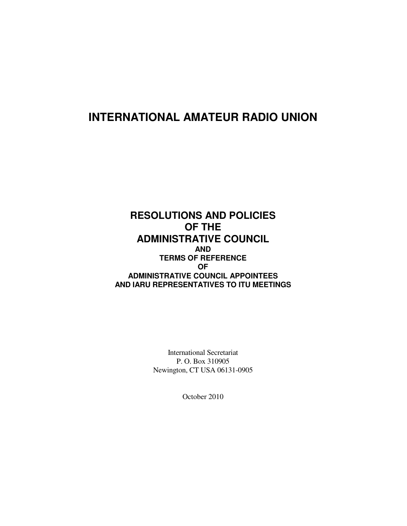# **INTERNATIONAL AMATEUR RADIO UNION**

# **RESOLUTIONS AND POLICIES OF THE ADMINISTRATIVE COUNCIL AND TERMS OF REFERENCE OF ADMINISTRATIVE COUNCIL APPOINTEES AND IARU REPRESENTATIVES TO ITU MEETINGS**

International Secretariat P. O. Box 310905 Newington, CT USA 06131-0905

October 2010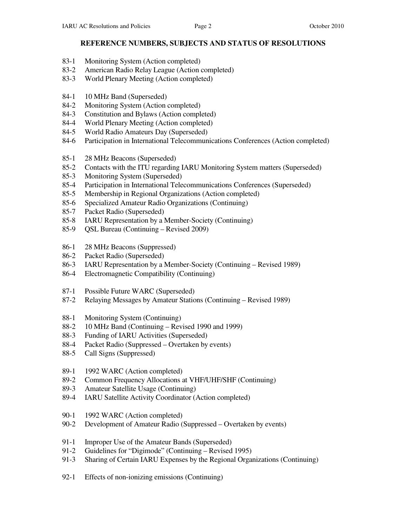### **REFERENCE NUMBERS, SUBJECTS AND STATUS OF RESOLUTIONS**

- 83-1 Monitoring System (Action completed)
- 83-2 American Radio Relay League (Action completed)
- 83-3 World Plenary Meeting (Action completed)
- 84-1 10 MHz Band (Superseded)
- 84-2 Monitoring System (Action completed)
- 84-3 Constitution and Bylaws (Action completed)
- 84-4 World Plenary Meeting (Action completed)
- 84-5 World Radio Amateurs Day (Superseded)
- 84-6 Participation in International Telecommunications Conferences (Action completed)
- 85-1 28 MHz Beacons (Superseded)
- 85-2 Contacts with the ITU regarding IARU Monitoring System matters (Superseded)
- 85-3 Monitoring System (Superseded)
- 85-4 Participation in International Telecommunications Conferences (Superseded)
- 85-5 Membership in Regional Organizations (Action completed)
- 85-6 Specialized Amateur Radio Organizations (Continuing)
- 85-7 Packet Radio (Superseded)
- 85-8 IARU Representation by a Member-Society (Continuing)
- 85-9 QSL Bureau (Continuing Revised 2009)
- 86-1 28 MHz Beacons (Suppressed)
- 86-2 Packet Radio (Superseded)
- 86-3 IARU Representation by a Member-Society (Continuing Revised 1989)
- 86-4 Electromagnetic Compatibility (Continuing)
- 87-1 Possible Future WARC (Superseded)
- 87-2 Relaying Messages by Amateur Stations (Continuing Revised 1989)
- 88-1 Monitoring System (Continuing)
- 88-2 10 MHz Band (Continuing Revised 1990 and 1999)
- 88-3 Funding of IARU Activities (Superseded)
- 88-4 Packet Radio (Suppressed Overtaken by events)
- 88-5 Call Signs (Suppressed)
- 89-1 1992 WARC (Action completed)
- 89-2 Common Frequency Allocations at VHF/UHF/SHF (Continuing)
- 89-3 Amateur Satellite Usage (Continuing)
- 89-4 IARU Satellite Activity Coordinator (Action completed)
- 90-1 1992 WARC (Action completed)
- 90-2 Development of Amateur Radio (Suppressed Overtaken by events)
- 91-1 Improper Use of the Amateur Bands (Superseded)
- 91-2 Guidelines for "Digimode" (Continuing Revised 1995)
- 91-3 Sharing of Certain IARU Expenses by the Regional Organizations (Continuing)
- 92-1 Effects of non-ionizing emissions (Continuing)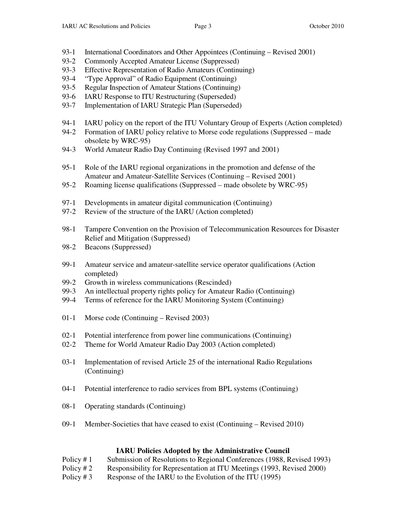- 93-1 International Coordinators and Other Appointees (Continuing Revised 2001)
- 93-2 Commonly Accepted Amateur License (Suppressed)
- 93-3 Effective Representation of Radio Amateurs (Continuing)
- 93-4 "Type Approval" of Radio Equipment (Continuing)
- 93-5 Regular Inspection of Amateur Stations (Continuing)
- 93-6 IARU Response to ITU Restructuring (Superseded)<br>93-7 Implementation of IARU Strategic Plan (Superseded)
- Implementation of IARU Strategic Plan (Superseded)
- 94-1 IARU policy on the report of the ITU Voluntary Group of Experts (Action completed)
- 94-2 Formation of IARU policy relative to Morse code regulations (Suppressed made obsolete by WRC-95)
- 94-3 World Amateur Radio Day Continuing (Revised 1997 and 2001)
- 95-1 Role of the IARU regional organizations in the promotion and defense of the Amateur and Amateur-Satellite Services (Continuing – Revised 2001)
- 95-2 Roaming license qualifications (Suppressed made obsolete by WRC-95)
- 97-1 Developments in amateur digital communication (Continuing)
- 97-2 Review of the structure of the IARU (Action completed)
- 98-1 Tampere Convention on the Provision of Telecommunication Resources for Disaster Relief and Mitigation (Suppressed)
- 98-2 Beacons (Suppressed)
- 99-1 Amateur service and amateur-satellite service operator qualifications (Action completed)
- 99-2 Growth in wireless communications (Rescinded)
- 99-3 An intellectual property rights policy for Amateur Radio (Continuing)
- 99-4 Terms of reference for the IARU Monitoring System (Continuing)
- 01-1 Morse code (Continuing Revised 2003)
- 02-1 Potential interference from power line communications (Continuing)
- 02-2 Theme for World Amateur Radio Day 2003 (Action completed)
- 03-1 Implementation of revised Article 25 of the international Radio Regulations (Continuing)
- 04-1 Potential interference to radio services from BPL systems (Continuing)
- 08-1 Operating standards (Continuing)
- 09-1 Member-Societies that have ceased to exist (Continuing Revised 2010)

# **IARU Policies Adopted by the Administrative Council**

- Policy # 1 Submission of Resolutions to Regional Conferences (1988, Revised 1993)
- Policy # 2 Responsibility for Representation at ITU Meetings (1993, Revised 2000)
- Policy # 3 Response of the IARU to the Evolution of the ITU (1995)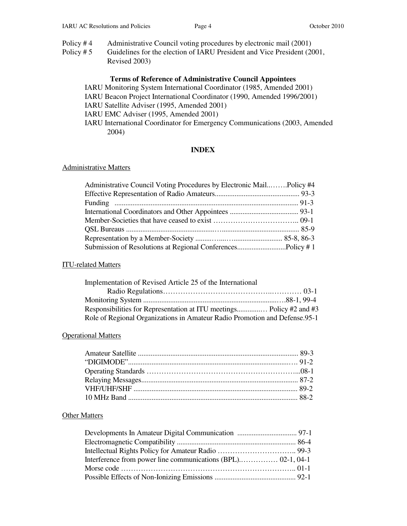- Policy #4 Administrative Council voting procedures by electronic mail (2001)
- Policy # 5 Guidelines for the election of IARU President and Vice President (2001, Revised 2003)

### **Terms of Reference of Administrative Council Appointees**

IARU Monitoring System International Coordinator (1985, Amended 2001) IARU Beacon Project International Coordinator (1990, Amended 1996/2001) IARU Satellite Adviser (1995, Amended 2001) IARU EMC Adviser (1995, Amended 2001) IARU International Coordinator for Emergency Communications (2003, Amended 2004)

# **INDEX**

### Administrative Matters

| Administrative Council Voting Procedures by Electronic MailPolicy #4 |  |
|----------------------------------------------------------------------|--|
|                                                                      |  |
|                                                                      |  |
|                                                                      |  |
|                                                                      |  |
|                                                                      |  |
|                                                                      |  |
|                                                                      |  |

#### ITU-related Matters

| Implementation of Revised Article 25 of the International                  |  |
|----------------------------------------------------------------------------|--|
|                                                                            |  |
|                                                                            |  |
| Responsibilities for Representation at ITU meetings Policy #2 and #3       |  |
| Role of Regional Organizations in Amateur Radio Promotion and Defense.95-1 |  |

### Operational Matters

### **Other Matters**

| Interference from power line communications (BPL) 02-1, 04-1 |  |
|--------------------------------------------------------------|--|
|                                                              |  |
|                                                              |  |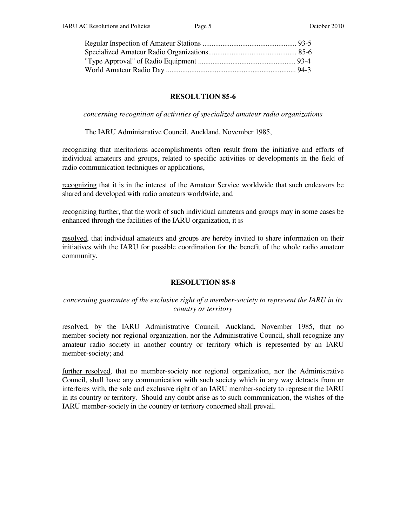### **RESOLUTION 85-6**

*concerning recognition of activities of specialized amateur radio organizations* 

The IARU Administrative Council, Auckland, November 1985,

recognizing that meritorious accomplishments often result from the initiative and efforts of individual amateurs and groups, related to specific activities or developments in the field of radio communication techniques or applications,

recognizing that it is in the interest of the Amateur Service worldwide that such endeavors be shared and developed with radio amateurs worldwide, and

recognizing further, that the work of such individual amateurs and groups may in some cases be enhanced through the facilities of the IARU organization, it is

resolved, that individual amateurs and groups are hereby invited to share information on their initiatives with the IARU for possible coordination for the benefit of the whole radio amateur community.

### **RESOLUTION 85-8**

### *concerning guarantee of the exclusive right of a member-society to represent the IARU in its country or territory*

resolved, by the IARU Administrative Council, Auckland, November 1985, that no member-society nor regional organization, nor the Administrative Council, shall recognize any amateur radio society in another country or territory which is represented by an IARU member-society; and

further resolved, that no member-society nor regional organization, nor the Administrative Council, shall have any communication with such society which in any way detracts from or interferes with, the sole and exclusive right of an IARU member-society to represent the IARU in its country or territory. Should any doubt arise as to such communication, the wishes of the IARU member-society in the country or territory concerned shall prevail.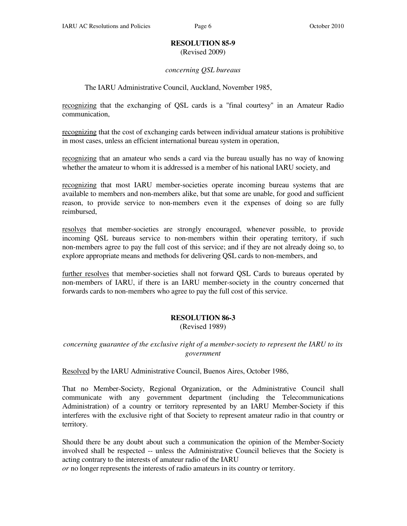# **RESOLUTION 85-9**

(Revised 2009)

#### *concerning QSL bureaus*

### The IARU Administrative Council, Auckland, November 1985,

recognizing that the exchanging of QSL cards is a "final courtesy" in an Amateur Radio communication,

recognizing that the cost of exchanging cards between individual amateur stations is prohibitive in most cases, unless an efficient international bureau system in operation,

recognizing that an amateur who sends a card via the bureau usually has no way of knowing whether the amateur to whom it is addressed is a member of his national IARU society, and

recognizing that most IARU member-societies operate incoming bureau systems that are available to members and non-members alike, but that some are unable, for good and sufficient reason, to provide service to non-members even it the expenses of doing so are fully reimbursed,

resolves that member-societies are strongly encouraged, whenever possible, to provide incoming QSL bureaus service to non-members within their operating territory, if such non-members agree to pay the full cost of this service; and if they are not already doing so, to explore appropriate means and methods for delivering QSL cards to non-members, and

further resolves that member-societies shall not forward QSL Cards to bureaus operated by non-members of IARU, if there is an IARU member-society in the country concerned that forwards cards to non-members who agree to pay the full cost of this service.

# **RESOLUTION 86-3**

(Revised 1989)

*concerning guarantee of the exclusive right of a member-society to represent the IARU to its government* 

Resolved by the IARU Administrative Council, Buenos Aires, October 1986,

That no Member-Society, Regional Organization, or the Administrative Council shall communicate with any government department (including the Telecommunications Administration) of a country or territory represented by an IARU Member-Society if this interferes with the exclusive right of that Society to represent amateur radio in that country or territory.

Should there be any doubt about such a communication the opinion of the Member-Society involved shall be respected -- unless the Administrative Council believes that the Society is acting contrary to the interests of amateur radio of the IARU

*or* no longer represents the interests of radio amateurs in its country or territory.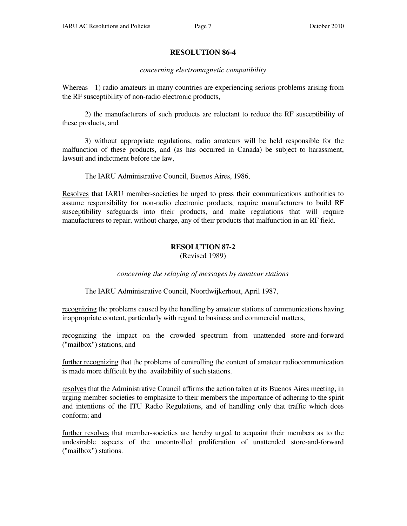### **RESOLUTION 86-4**

#### *concerning electromagnetic compatibility*

Whereas 1) radio amateurs in many countries are experiencing serious problems arising from the RF susceptibility of non-radio electronic products,

 2) the manufacturers of such products are reluctant to reduce the RF susceptibility of these products, and

 3) without appropriate regulations, radio amateurs will be held responsible for the malfunction of these products, and (as has occurred in Canada) be subject to harassment, lawsuit and indictment before the law,

The IARU Administrative Council, Buenos Aires, 1986,

Resolves that IARU member-societies be urged to press their communications authorities to assume responsibility for non-radio electronic products, require manufacturers to build RF susceptibility safeguards into their products, and make regulations that will require manufacturers to repair, without charge, any of their products that malfunction in an RF field.

### **RESOLUTION 87-2**

(Revised 1989)

*concerning the relaying of messages by amateur stations* 

The IARU Administrative Council, Noordwijkerhout, April 1987,

recognizing the problems caused by the handling by amateur stations of communications having inappropriate content, particularly with regard to business and commercial matters,

recognizing the impact on the crowded spectrum from unattended store-and-forward ("mailbox") stations, and

further recognizing that the problems of controlling the content of amateur radiocommunication is made more difficult by the availability of such stations.

resolves that the Administrative Council affirms the action taken at its Buenos Aires meeting, in urging member-societies to emphasize to their members the importance of adhering to the spirit and intentions of the ITU Radio Regulations, and of handling only that traffic which does conform; and

further resolves that member-societies are hereby urged to acquaint their members as to the undesirable aspects of the uncontrolled proliferation of unattended store-and-forward ("mailbox") stations.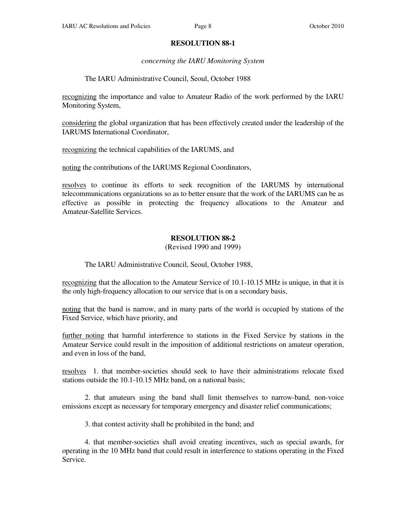### **RESOLUTION 88-1**

*concerning the IARU Monitoring System*

### The IARU Administrative Council, Seoul, October 1988

recognizing the importance and value to Amateur Radio of the work performed by the IARU Monitoring System,

considering the global organization that has been effectively created under the leadership of the IARUMS International Coordinator,

recognizing the technical capabilities of the IARUMS, and

noting the contributions of the IARUMS Regional Coordinators,

resolves to continue its efforts to seek recognition of the IARUMS by international telecommunications organizations so as to better ensure that the work of the IARUMS can be as effective as possible in protecting the frequency allocations to the Amateur and Amateur-Satellite Services.

### **RESOLUTION 88-2**

(Revised 1990 and 1999)

The IARU Administrative Council, Seoul, October 1988,

recognizing that the allocation to the Amateur Service of 10.1-10.15 MHz is unique, in that it is the only high-frequency allocation to our service that is on a secondary basis,

noting that the band is narrow, and in many parts of the world is occupied by stations of the Fixed Service, which have priority, and

further noting that harmful interference to stations in the Fixed Service by stations in the Amateur Service could result in the imposition of additional restrictions on amateur operation, and even in loss of the band,

resolves 1. that member-societies should seek to have their administrations relocate fixed stations outside the 10.1-10.15 MHz band, on a national basis;

 2. that amateurs using the band shall limit themselves to narrow-band, non-voice emissions except as necessary for temporary emergency and disaster relief communications;

3. that contest activity shall be prohibited in the band; and

 4. that member-societies shall avoid creating incentives, such as special awards, for operating in the 10 MHz band that could result in interference to stations operating in the Fixed Service.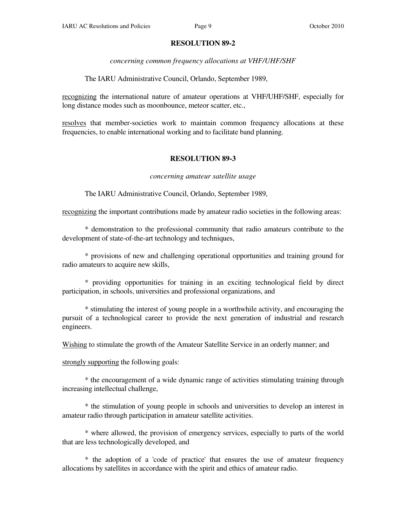### **RESOLUTION 89-2**

#### *concerning common frequency allocations at VHF/UHF/SHF*

The IARU Administrative Council, Orlando, September 1989,

recognizing the international nature of amateur operations at VHF/UHF/SHF, especially for long distance modes such as moonbounce, meteor scatter, etc.,

resolves that member-societies work to maintain common frequency allocations at these frequencies, to enable international working and to facilitate band planning.

### **RESOLUTION 89-3**

*concerning amateur satellite usage* 

The IARU Administrative Council, Orlando, September 1989,

recognizing the important contributions made by amateur radio societies in the following areas:

 \* demonstration to the professional community that radio amateurs contribute to the development of state-of-the-art technology and techniques,

 \* provisions of new and challenging operational opportunities and training ground for radio amateurs to acquire new skills,

 \* providing opportunities for training in an exciting technological field by direct participation, in schools, universities and professional organizations, and

 \* stimulating the interest of young people in a worthwhile activity, and encouraging the pursuit of a technological career to provide the next generation of industrial and research engineers.

Wishing to stimulate the growth of the Amateur Satellite Service in an orderly manner; and

strongly supporting the following goals:

 \* the encouragement of a wide dynamic range of activities stimulating training through increasing intellectual challenge,

 \* the stimulation of young people in schools and universities to develop an interest in amateur radio through participation in amateur satellite activities.

 \* where allowed, the provision of emergency services, especially to parts of the world that are less technologically developed, and

 \* the adoption of a 'code of practice' that ensures the use of amateur frequency allocations by satellites in accordance with the spirit and ethics of amateur radio.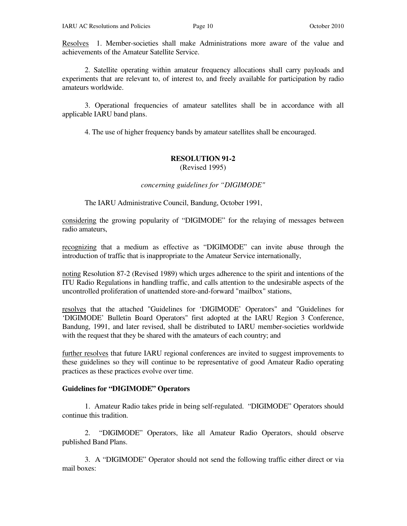Resolves 1. Member-societies shall make Administrations more aware of the value and achievements of the Amateur Satellite Service.

 2. Satellite operating within amateur frequency allocations shall carry payloads and experiments that are relevant to, of interest to, and freely available for participation by radio amateurs worldwide.

 3. Operational frequencies of amateur satellites shall be in accordance with all applicable IARU band plans.

4. The use of higher frequency bands by amateur satellites shall be encouraged.

# **RESOLUTION 91-2**

(Revised 1995)

*concerning guidelines for "DIGIMODE"* 

The IARU Administrative Council, Bandung, October 1991,

considering the growing popularity of "DIGIMODE" for the relaying of messages between radio amateurs,

recognizing that a medium as effective as "DIGIMODE" can invite abuse through the introduction of traffic that is inappropriate to the Amateur Service internationally,

noting Resolution 87-2 (Revised 1989) which urges adherence to the spirit and intentions of the ITU Radio Regulations in handling traffic, and calls attention to the undesirable aspects of the uncontrolled proliferation of unattended store-and-forward "mailbox" stations,

resolves that the attached "Guidelines for 'DIGIMODE' Operators" and "Guidelines for 'DIGIMODE' Bulletin Board Operators" first adopted at the IARU Region 3 Conference, Bandung, 1991, and later revised, shall be distributed to IARU member-societies worldwide with the request that they be shared with the amateurs of each country; and

further resolves that future IARU regional conferences are invited to suggest improvements to these guidelines so they will continue to be representative of good Amateur Radio operating practices as these practices evolve over time.

### **Guidelines for "DIGIMODE" Operators**

 1. Amateur Radio takes pride in being self-regulated. "DIGIMODE" Operators should continue this tradition.

 2. "DIGIMODE" Operators, like all Amateur Radio Operators, should observe published Band Plans.

 3. A "DIGIMODE" Operator should not send the following traffic either direct or via mail boxes: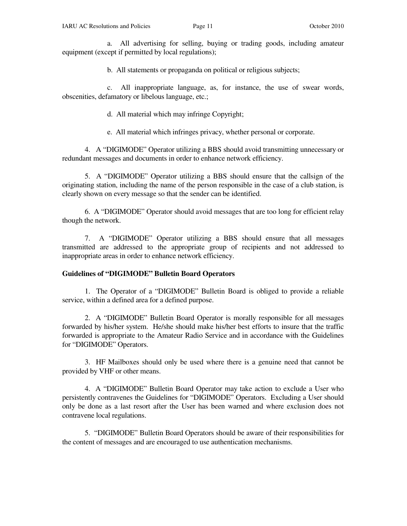a. All advertising for selling, buying or trading goods, including amateur equipment (except if permitted by local regulations);

b. All statements or propaganda on political or religious subjects;

 c. All inappropriate language, as, for instance, the use of swear words, obscenities, defamatory or libelous language, etc.;

d. All material which may infringe Copyright;

e. All material which infringes privacy, whether personal or corporate.

 4. A "DIGIMODE" Operator utilizing a BBS should avoid transmitting unnecessary or redundant messages and documents in order to enhance network efficiency.

 5. A "DIGIMODE" Operator utilizing a BBS should ensure that the callsign of the originating station, including the name of the person responsible in the case of a club station, is clearly shown on every message so that the sender can be identified.

 6. A "DIGIMODE" Operator should avoid messages that are too long for efficient relay though the network.

 7. A "DIGIMODE" Operator utilizing a BBS should ensure that all messages transmitted are addressed to the appropriate group of recipients and not addressed to inappropriate areas in order to enhance network efficiency.

### **Guidelines of "DIGIMODE" Bulletin Board Operators**

 1. The Operator of a "DIGIMODE" Bulletin Board is obliged to provide a reliable service, within a defined area for a defined purpose.

 2. A "DIGIMODE" Bulletin Board Operator is morally responsible for all messages forwarded by his/her system. He/she should make his/her best efforts to insure that the traffic forwarded is appropriate to the Amateur Radio Service and in accordance with the Guidelines for "DIGIMODE" Operators.

 3. HF Mailboxes should only be used where there is a genuine need that cannot be provided by VHF or other means.

 4. A "DIGIMODE" Bulletin Board Operator may take action to exclude a User who persistently contravenes the Guidelines for "DIGIMODE" Operators. Excluding a User should only be done as a last resort after the User has been warned and where exclusion does not contravene local regulations.

 5. "DIGIMODE" Bulletin Board Operators should be aware of their responsibilities for the content of messages and are encouraged to use authentication mechanisms.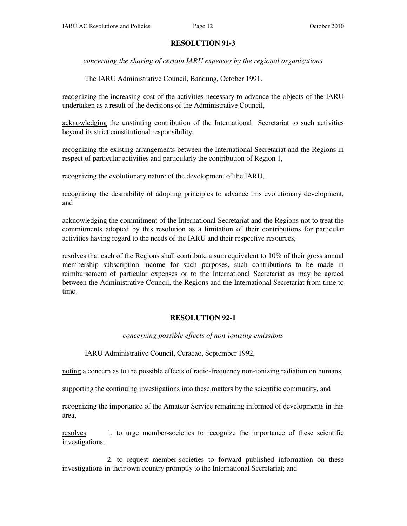### **RESOLUTION 91-3**

*concerning the sharing of certain IARU expenses by the regional organizations* 

The IARU Administrative Council, Bandung, October 1991.

recognizing the increasing cost of the activities necessary to advance the objects of the IARU undertaken as a result of the decisions of the Administrative Council,

acknowledging the unstinting contribution of the International Secretariat to such activities beyond its strict constitutional responsibility,

recognizing the existing arrangements between the International Secretariat and the Regions in respect of particular activities and particularly the contribution of Region 1,

recognizing the evolutionary nature of the development of the IARU,

recognizing the desirability of adopting principles to advance this evolutionary development, and

acknowledging the commitment of the International Secretariat and the Regions not to treat the commitments adopted by this resolution as a limitation of their contributions for particular activities having regard to the needs of the IARU and their respective resources,

resolves that each of the Regions shall contribute a sum equivalent to 10% of their gross annual membership subscription income for such purposes, such contributions to be made in reimbursement of particular expenses or to the International Secretariat as may be agreed between the Administrative Council, the Regions and the International Secretariat from time to time.

# **RESOLUTION 92-1**

*concerning possible effects of non-ionizing emissions* 

IARU Administrative Council, Curacao, September 1992,

noting a concern as to the possible effects of radio-frequency non-ionizing radiation on humans,

supporting the continuing investigations into these matters by the scientific community, and

recognizing the importance of the Amateur Service remaining informed of developments in this area,

resolves 1. to urge member-societies to recognize the importance of these scientific investigations;

 2. to request member-societies to forward published information on these investigations in their own country promptly to the International Secretariat; and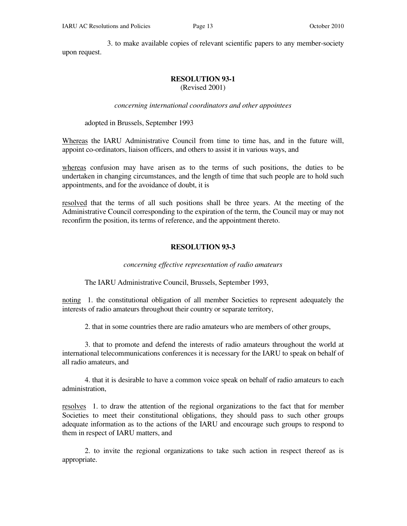3. to make available copies of relevant scientific papers to any member-society upon request.

### **RESOLUTION 93-1**

(Revised 2001)

*concerning international coordinators and other appointees*

adopted in Brussels, September 1993

Whereas the IARU Administrative Council from time to time has, and in the future will, appoint co-ordinators, liaison officers, and others to assist it in various ways, and

whereas confusion may have arisen as to the terms of such positions, the duties to be undertaken in changing circumstances, and the length of time that such people are to hold such appointments, and for the avoidance of doubt, it is

resolved that the terms of all such positions shall be three years. At the meeting of the Administrative Council corresponding to the expiration of the term, the Council may or may not reconfirm the position, its terms of reference, and the appointment thereto.

### **RESOLUTION 93-3**

*concerning effective representation of radio amateurs* 

The IARU Administrative Council, Brussels, September 1993,

noting 1. the constitutional obligation of all member Societies to represent adequately the interests of radio amateurs throughout their country or separate territory,

2. that in some countries there are radio amateurs who are members of other groups,

 3. that to promote and defend the interests of radio amateurs throughout the world at international telecommunications conferences it is necessary for the IARU to speak on behalf of all radio amateurs, and

 4. that it is desirable to have a common voice speak on behalf of radio amateurs to each administration,

resolves 1. to draw the attention of the regional organizations to the fact that for member Societies to meet their constitutional obligations, they should pass to such other groups adequate information as to the actions of the IARU and encourage such groups to respond to them in respect of IARU matters, and

 2. to invite the regional organizations to take such action in respect thereof as is appropriate.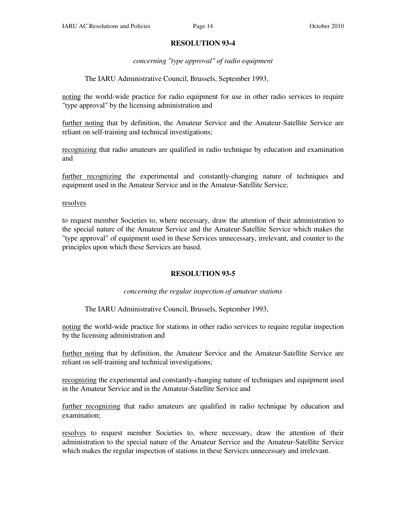### **RESOLUTION 93-4**

*concerning "type approval" of radio equipment* 

The IARU Administrative Council, Brussels, September 1993,

noting the world-wide practice for radio equipment for use in other radio services to require "type approval" by the licensing administration and

further noting that by definition, the Amateur Service and the Amateur-Satellite Service are reliant on self-training and technical investigations;

recognizing that radio amateurs are qualified in radio technique by education and examination and

further recognizing the experimental and constantly-changing nature of techniques and equipment used in the Amateur Service and in the Amateur-Satellite Service;

### resolves

to request member Societies to, where necessary, draw the attention of their administration to the special nature of the Amateur Service and the Amateur-Satellite Service which makes the "type approval" of equipment used in these Services unnecessary, irrelevant, and counter to the principles upon which these Services are based.

# **RESOLUTION 93-5**

### *concerning the regular inspection of amateur stations*

The IARU Administrative Council, Brussels, September 1993,

noting the world-wide practice for stations in other radio services to require regular inspection by the licensing administration and

further noting that by definition, the Amateur Service and the Amateur-Satellite Service are reliant on self-training and technical investigations;

recognizing the experimental and constantly-changing nature of techniques and equipment used in the Amateur Service and in the Amateur-Satellite Service and

further recognizing that radio amateurs are qualified in radio technique by education and examination;

resolves to request member Societies to, where necessary, draw the attention of their administration to the special nature of the Amateur Service and the Amateur-Satellite Service which makes the regular inspection of stations in these Services unnecessary and irrelevant.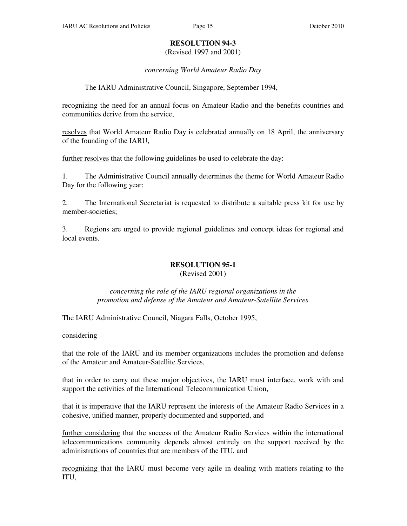### **RESOLUTION 94-3**

(Revised 1997 and 2001)

*concerning World Amateur Radio Day* 

# The IARU Administrative Council, Singapore, September 1994,

recognizing the need for an annual focus on Amateur Radio and the benefits countries and communities derive from the service,

resolves that World Amateur Radio Day is celebrated annually on 18 April, the anniversary of the founding of the IARU,

further resolves that the following guidelines be used to celebrate the day:

1. The Administrative Council annually determines the theme for World Amateur Radio Day for the following year;

2. The International Secretariat is requested to distribute a suitable press kit for use by member-societies;

3. Regions are urged to provide regional guidelines and concept ideas for regional and local events.

### **RESOLUTION 95-1**  (Revised 2001)

### *concerning the role of the IARU regional organizations in the promotion and defense of the Amateur and Amateur-Satellite Services*

The IARU Administrative Council, Niagara Falls, October 1995,

considering

that the role of the IARU and its member organizations includes the promotion and defense of the Amateur and Amateur-Satellite Services,

that in order to carry out these major objectives, the IARU must interface, work with and support the activities of the International Telecommunication Union,

that it is imperative that the IARU represent the interests of the Amateur Radio Services in a cohesive, unified manner, properly documented and supported, and

further considering that the success of the Amateur Radio Services within the international telecommunications community depends almost entirely on the support received by the administrations of countries that are members of the ITU, and

recognizing that the IARU must become very agile in dealing with matters relating to the ITU,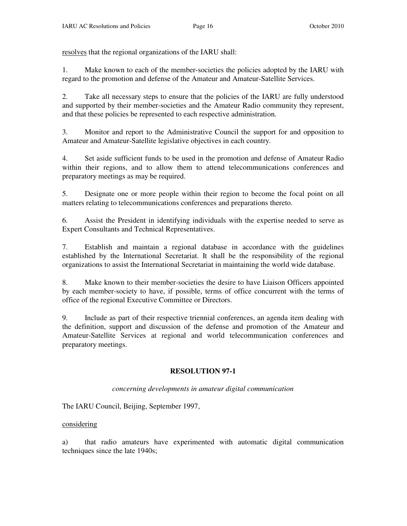resolves that the regional organizations of the IARU shall:

1. Make known to each of the member-societies the policies adopted by the IARU with regard to the promotion and defense of the Amateur and Amateur-Satellite Services.

2. Take all necessary steps to ensure that the policies of the IARU are fully understood and supported by their member-societies and the Amateur Radio community they represent, and that these policies be represented to each respective administration.

3. Monitor and report to the Administrative Council the support for and opposition to Amateur and Amateur-Satellite legislative objectives in each country.

4. Set aside sufficient funds to be used in the promotion and defense of Amateur Radio within their regions, and to allow them to attend telecommunications conferences and preparatory meetings as may be required.

5. Designate one or more people within their region to become the focal point on all matters relating to telecommunications conferences and preparations thereto.

6. Assist the President in identifying individuals with the expertise needed to serve as Expert Consultants and Technical Representatives.

7. Establish and maintain a regional database in accordance with the guidelines established by the International Secretariat. It shall be the responsibility of the regional organizations to assist the International Secretariat in maintaining the world wide database.

8. Make known to their member-societies the desire to have Liaison Officers appointed by each member-society to have, if possible, terms of office concurrent with the terms of office of the regional Executive Committee or Directors.

9. Include as part of their respective triennial conferences, an agenda item dealing with the definition, support and discussion of the defense and promotion of the Amateur and Amateur-Satellite Services at regional and world telecommunication conferences and preparatory meetings.

# **RESOLUTION 97-1**

*concerning developments in amateur digital communication* 

The IARU Council, Beijing, September 1997,

# considering

a) that radio amateurs have experimented with automatic digital communication techniques since the late 1940s;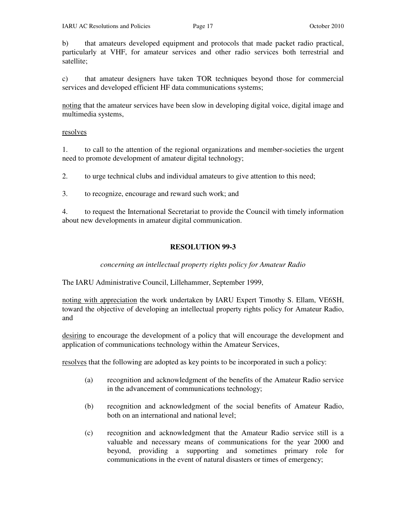b) that amateurs developed equipment and protocols that made packet radio practical, particularly at VHF, for amateur services and other radio services both terrestrial and satellite;

c) that amateur designers have taken TOR techniques beyond those for commercial services and developed efficient HF data communications systems;

noting that the amateur services have been slow in developing digital voice, digital image and multimedia systems,

### resolves

1. to call to the attention of the regional organizations and member-societies the urgent need to promote development of amateur digital technology;

2. to urge technical clubs and individual amateurs to give attention to this need;

3. to recognize, encourage and reward such work; and

4. to request the International Secretariat to provide the Council with timely information about new developments in amateur digital communication.

### **RESOLUTION 99-3**

*concerning an intellectual property rights policy for Amateur Radio* 

The IARU Administrative Council, Lillehammer, September 1999,

noting with appreciation the work undertaken by IARU Expert Timothy S. Ellam, VE6SH, toward the objective of developing an intellectual property rights policy for Amateur Radio, and

desiring to encourage the development of a policy that will encourage the development and application of communications technology within the Amateur Services,

resolves that the following are adopted as key points to be incorporated in such a policy:

- (a) recognition and acknowledgment of the benefits of the Amateur Radio service in the advancement of communications technology;
- (b) recognition and acknowledgment of the social benefits of Amateur Radio, both on an international and national level;
- (c) recognition and acknowledgment that the Amateur Radio service still is a valuable and necessary means of communications for the year 2000 and beyond, providing a supporting and sometimes primary role for communications in the event of natural disasters or times of emergency;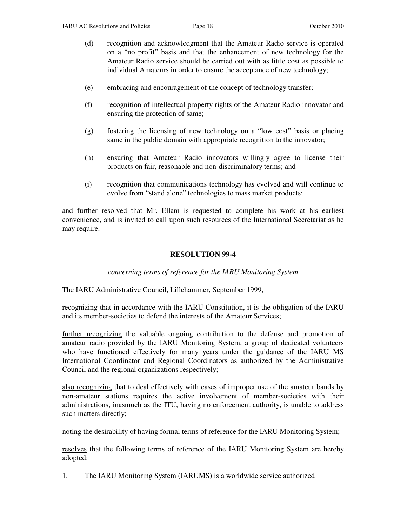- (d) recognition and acknowledgment that the Amateur Radio service is operated on a "no profit" basis and that the enhancement of new technology for the Amateur Radio service should be carried out with as little cost as possible to individual Amateurs in order to ensure the acceptance of new technology;
- (e) embracing and encouragement of the concept of technology transfer;
- (f) recognition of intellectual property rights of the Amateur Radio innovator and ensuring the protection of same;
- (g) fostering the licensing of new technology on a "low cost" basis or placing same in the public domain with appropriate recognition to the innovator;
- (h) ensuring that Amateur Radio innovators willingly agree to license their products on fair, reasonable and non-discriminatory terms; and
- (i) recognition that communications technology has evolved and will continue to evolve from "stand alone" technologies to mass market products;

and further resolved that Mr. Ellam is requested to complete his work at his earliest convenience, and is invited to call upon such resources of the International Secretariat as he may require.

### **RESOLUTION 99-4**

### *concerning terms of reference for the IARU Monitoring System*

The IARU Administrative Council, Lillehammer, September 1999,

recognizing that in accordance with the IARU Constitution, it is the obligation of the IARU and its member-societies to defend the interests of the Amateur Services;

further recognizing the valuable ongoing contribution to the defense and promotion of amateur radio provided by the IARU Monitoring System, a group of dedicated volunteers who have functioned effectively for many years under the guidance of the IARU MS International Coordinator and Regional Coordinators as authorized by the Administrative Council and the regional organizations respectively;

also recognizing that to deal effectively with cases of improper use of the amateur bands by non-amateur stations requires the active involvement of member-societies with their administrations, inasmuch as the ITU, having no enforcement authority, is unable to address such matters directly;

noting the desirability of having formal terms of reference for the IARU Monitoring System;

resolves that the following terms of reference of the IARU Monitoring System are hereby adopted:

1. The IARU Monitoring System (IARUMS) is a worldwide service authorized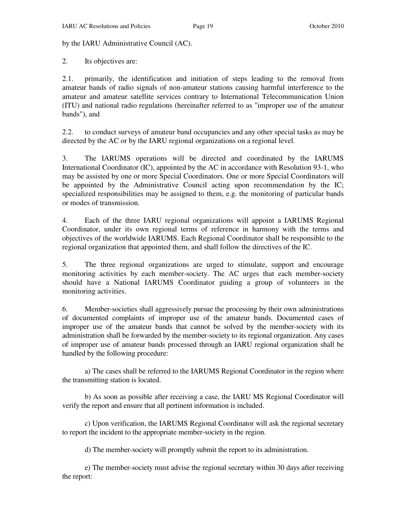by the IARU Administrative Council (AC).

2. Its objectives are:

2.1. primarily, the identification and initiation of steps leading to the removal from amateur bands of radio signals of non-amateur stations causing harmful interference to the amateur and amateur satellite services contrary to International Telecommunication Union (ITU) and national radio regulations (hereinafter referred to as "improper use of the amateur bands"), and

2.2. to conduct surveys of amateur band occupancies and any other special tasks as may be directed by the AC or by the IARU regional organizations on a regional level.

3. The IARUMS operations will be directed and coordinated by the IARUMS International Coordinator (IC), appointed by the AC in accordance with Resolution 93-1, who may be assisted by one or more Special Coordinators. One or more Special Coordinators will be appointed by the Administrative Council acting upon recommendation by the IC; specialized responsibilities may be assigned to them, e.g. the monitoring of particular bands or modes of transmission.

4. Each of the three IARU regional organizations will appoint a IARUMS Regional Coordinator, under its own regional terms of reference in harmony with the terms and objectives of the worldwide IARUMS. Each Regional Coordinator shall be responsible to the regional organization that appointed them, and shall follow the directives of the IC.

5. The three regional organizations are urged to stimulate, support and encourage monitoring activities by each member-society. The AC urges that each member-society should have a National IARUMS Coordinator guiding a group of volunteers in the monitoring activities.

6. Member-societies shall aggressively pursue the processing by their own administrations of documented complaints of improper use of the amateur bands. Documented cases of improper use of the amateur bands that cannot be solved by the member-society with its administration shall be forwarded by the member-society to its regional organization. Any cases of improper use of amateur bands processed through an IARU regional organization shall be handled by the following procedure:

 a) The cases shall be referred to the IARUMS Regional Coordinator in the region where the transmitting station is located.

 b) As soon as possible after receiving a case, the IARU MS Regional Coordinator will verify the report and ensure that all pertinent information is included.

 c) Upon verification, the IARUMS Regional Coordinator will ask the regional secretary to report the incident to the appropriate member-society in the region.

d) The member-society will promptly submit the report to its administration.

 e) The member-society must advise the regional secretary within 30 days after receiving the report: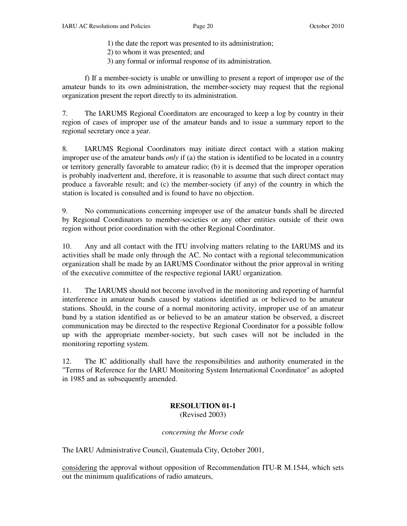- 1) the date the report was presented to its administration;
- 2) to whom it was presented; and
- 3) any formal or informal response of its administration.

 f) If a member-society is unable or unwilling to present a report of improper use of the amateur bands to its own administration, the member-society may request that the regional organization present the report directly to its administration.

7. The IARUMS Regional Coordinators are encouraged to keep a log by country in their region of cases of improper use of the amateur bands and to issue a summary report to the regional secretary once a year.

8. IARUMS Regional Coordinators may initiate direct contact with a station making improper use of the amateur bands *only* if (a) the station is identified to be located in a country or territory generally favorable to amateur radio; (b) it is deemed that the improper operation is probably inadvertent and, therefore, it is reasonable to assume that such direct contact may produce a favorable result; and (c) the member-society (if any) of the country in which the station is located is consulted and is found to have no objection.

9. No communications concerning improper use of the amateur bands shall be directed by Regional Coordinators to member-societies or any other entities outside of their own region without prior coordination with the other Regional Coordinator.

10. Any and all contact with the ITU involving matters relating to the IARUMS and its activities shall be made only through the AC. No contact with a regional telecommunication organization shall be made by an IARUMS Coordinator without the prior approval in writing of the executive committee of the respective regional IARU organization.

11. The IARUMS should not become involved in the monitoring and reporting of harmful interference in amateur bands caused by stations identified as or believed to be amateur stations. Should, in the course of a normal monitoring activity, improper use of an amateur band by a station identified as or believed to be an amateur station be observed, a discreet communication may be directed to the respective Regional Coordinator for a possible follow up with the appropriate member-society, but such cases will not be included in the monitoring reporting system.

12. The IC additionally shall have the responsibilities and authority enumerated in the "Terms of Reference for the IARU Monitoring System International Coordinator" as adopted in 1985 and as subsequently amended.

### **RESOLUTION 01-1**  (Revised 2003)

### *concerning the Morse code*

The IARU Administrative Council, Guatemala City, October 2001,

considering the approval without opposition of Recommendation ITU-R M.1544, which sets out the minimum qualifications of radio amateurs,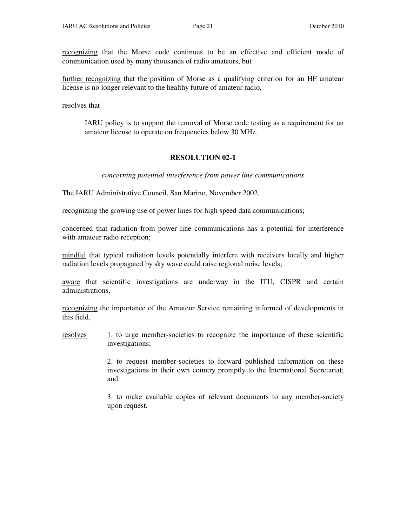recognizing that the Morse code continues to be an effective and efficient mode of communication used by many thousands of radio amateurs, but

further recognizing that the position of Morse as a qualifying criterion for an HF amateur license is no longer relevant to the healthy future of amateur radio,

resolves that

IARU policy is to support the removal of Morse code testing as a requirement for an amateur license to operate on frequencies below 30 MHz.

#### **RESOLUTION 02-1**

*concerning potential interference from power line communications* 

The IARU Administrative Council, San Marino, November 2002,

recognizing the growing use of power lines for high speed data communications;

concerned that radiation from power line communications has a potential for interference with amateur radio reception;

mindful that typical radiation levels potentially interfere with receivers locally and higher radiation levels propagated by sky wave could raise regional noise levels;

aware that scientific investigations are underway in the ITU, CISPR and certain administrations,

recognizing the importance of the Amateur Service remaining informed of developments in this field,

resolves 1. to urge member-societies to recognize the importance of these scientific investigations;

> 2. to request member-societies to forward published information on these investigations in their own country promptly to the International Secretariat; and

> 3. to make available copies of relevant documents to any member-society upon request.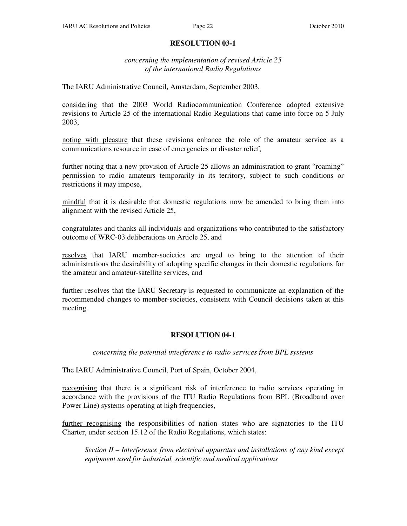### **RESOLUTION 03-1**

*concerning the implementation of revised Article 25 of the international Radio Regulations* 

The IARU Administrative Council, Amsterdam, September 2003,

considering that the 2003 World Radiocommunication Conference adopted extensive revisions to Article 25 of the international Radio Regulations that came into force on 5 July 2003,

noting with pleasure that these revisions enhance the role of the amateur service as a communications resource in case of emergencies or disaster relief,

further noting that a new provision of Article 25 allows an administration to grant "roaming" permission to radio amateurs temporarily in its territory, subject to such conditions or restrictions it may impose,

mindful that it is desirable that domestic regulations now be amended to bring them into alignment with the revised Article 25,

congratulates and thanks all individuals and organizations who contributed to the satisfactory outcome of WRC-03 deliberations on Article 25, and

resolves that IARU member-societies are urged to bring to the attention of their administrations the desirability of adopting specific changes in their domestic regulations for the amateur and amateur-satellite services, and

further resolves that the IARU Secretary is requested to communicate an explanation of the recommended changes to member-societies, consistent with Council decisions taken at this meeting.

### **RESOLUTION 04-1**

*concerning the potential interference to radio services from BPL systems*

The IARU Administrative Council, Port of Spain, October 2004,

recognising that there is a significant risk of interference to radio services operating in accordance with the provisions of the ITU Radio Regulations from BPL (Broadband over Power Line) systems operating at high frequencies,

further recognising the responsibilities of nation states who are signatories to the ITU Charter, under section 15.12 of the Radio Regulations, which states:

*Section II – Interference from electrical apparatus and installations of any kind except equipment used for industrial, scientific and medical applications*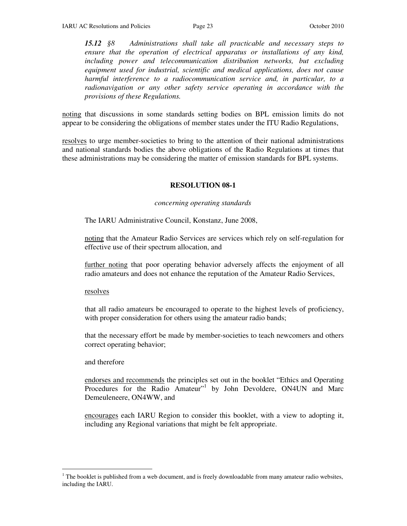*15.12 §8 Administrations shall take all practicable and necessary steps to ensure that the operation of electrical apparatus or installations of any kind, including power and telecommunication distribution networks, but excluding equipment used for industrial, scientific and medical applications, does not cause harmful interference to a radiocommunication service and, in particular, to a radionavigation or any other safety service operating in accordance with the provisions of these Regulations.* 

noting that discussions in some standards setting bodies on BPL emission limits do not appear to be considering the obligations of member states under the ITU Radio Regulations,

resolves to urge member-societies to bring to the attention of their national administrations and national standards bodies the above obligations of the Radio Regulations at times that these administrations may be considering the matter of emission standards for BPL systems.

### **RESOLUTION 08-1**

*concerning operating standards* 

The IARU Administrative Council, Konstanz, June 2008,

noting that the Amateur Radio Services are services which rely on self-regulation for effective use of their spectrum allocation, and

further noting that poor operating behavior adversely affects the enjoyment of all radio amateurs and does not enhance the reputation of the Amateur Radio Services,

#### resolves

that all radio amateurs be encouraged to operate to the highest levels of proficiency, with proper consideration for others using the amateur radio bands;

that the necessary effort be made by member-societies to teach newcomers and others correct operating behavior;

#### and therefore

L

endorses and recommends the principles set out in the booklet "Ethics and Operating Procedures for the Radio Amateur"<sup>1</sup> by John Devoldere, ON4UN and Marc Demeuleneere, ON4WW, and

encourages each IARU Region to consider this booklet, with a view to adopting it, including any Regional variations that might be felt appropriate.

 $1$ <sup>1</sup> The booklet is published from a web document, and is freely downloadable from many amateur radio websites, including the IARU.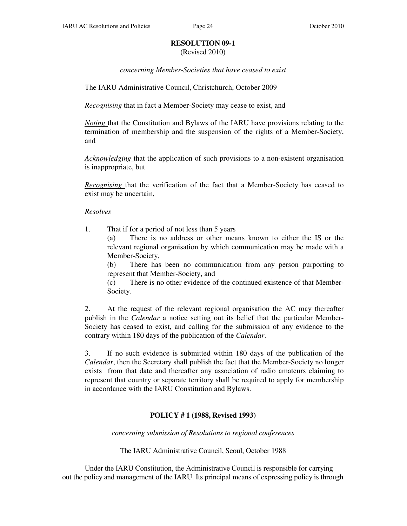# **RESOLUTION 09-1**

(Revised 2010)

*concerning Member-Societies that have ceased to exist* 

The IARU Administrative Council, Christchurch, October 2009

*Recognising* that in fact a Member-Society may cease to exist, and

*Noting* that the Constitution and Bylaws of the IARU have provisions relating to the termination of membership and the suspension of the rights of a Member-Society, and

*Acknowledging* that the application of such provisions to a non-existent organisation is inappropriate, but

*Recognising* that the verification of the fact that a Member-Society has ceased to exist may be uncertain,

### *Resolves*

1. That if for a period of not less than 5 years

(a) There is no address or other means known to either the IS or the relevant regional organisation by which communication may be made with a Member-Society,

(b) There has been no communication from any person purporting to represent that Member-Society, and

(c) There is no other evidence of the continued existence of that Member-Society.

2. At the request of the relevant regional organisation the AC may thereafter publish in the *Calendar* a notice setting out its belief that the particular Member-Society has ceased to exist, and calling for the submission of any evidence to the contrary within 180 days of the publication of the *Calendar*.

3. If no such evidence is submitted within 180 days of the publication of the *Calendar*, then the Secretary shall publish the fact that the Member-Society no longer exists from that date and thereafter any association of radio amateurs claiming to represent that country or separate territory shall be required to apply for membership in accordance with the IARU Constitution and Bylaws.

### **POLICY # 1 (1988, Revised 1993)**

*concerning submission of Resolutions to regional conferences* 

The IARU Administrative Council, Seoul, October 1988

 Under the IARU Constitution, the Administrative Council is responsible for carrying out the policy and management of the IARU. Its principal means of expressing policy is through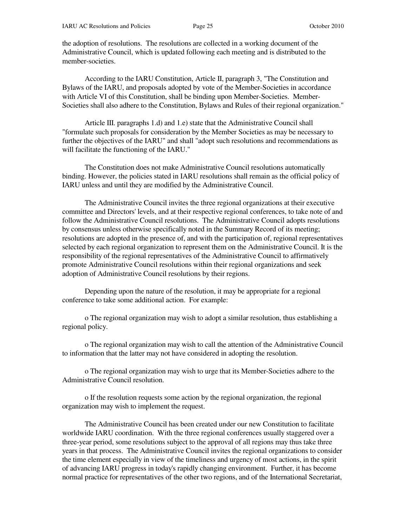the adoption of resolutions. The resolutions are collected in a working document of the Administrative Council, which is updated following each meeting and is distributed to the member-societies.

 According to the IARU Constitution, Article II, paragraph 3, "The Constitution and Bylaws of the IARU, and proposals adopted by vote of the Member-Societies in accordance with Article VI of this Constitution, shall be binding upon Member-Societies. Member-Societies shall also adhere to the Constitution, Bylaws and Rules of their regional organization."

 Article III. paragraphs 1.d) and 1.e) state that the Administrative Council shall "formulate such proposals for consideration by the Member Societies as may be necessary to further the objectives of the IARU" and shall "adopt such resolutions and recommendations as will facilitate the functioning of the IARU."

 The Constitution does not make Administrative Council resolutions automatically binding. However, the policies stated in IARU resolutions shall remain as the official policy of IARU unless and until they are modified by the Administrative Council.

 The Administrative Council invites the three regional organizations at their executive committee and Directors' levels, and at their respective regional conferences, to take note of and follow the Administrative Council resolutions. The Administrative Council adopts resolutions by consensus unless otherwise specifically noted in the Summary Record of its meeting; resolutions are adopted in the presence of, and with the participation of, regional representatives selected by each regional organization to represent them on the Administrative Council. It is the responsibility of the regional representatives of the Administrative Council to affirmatively promote Administrative Council resolutions within their regional organizations and seek adoption of Administrative Council resolutions by their regions.

 Depending upon the nature of the resolution, it may be appropriate for a regional conference to take some additional action. For example:

 o The regional organization may wish to adopt a similar resolution, thus establishing a regional policy.

 o The regional organization may wish to call the attention of the Administrative Council to information that the latter may not have considered in adopting the resolution.

 o The regional organization may wish to urge that its Member-Societies adhere to the Administrative Council resolution.

 o If the resolution requests some action by the regional organization, the regional organization may wish to implement the request.

 The Administrative Council has been created under our new Constitution to facilitate worldwide IARU coordination. With the three regional conferences usually staggered over a three-year period, some resolutions subject to the approval of all regions may thus take three years in that process. The Administrative Council invites the regional organizations to consider the time element especially in view of the timeliness and urgency of most actions, in the spirit of advancing IARU progress in today's rapidly changing environment. Further, it has become normal practice for representatives of the other two regions, and of the International Secretariat,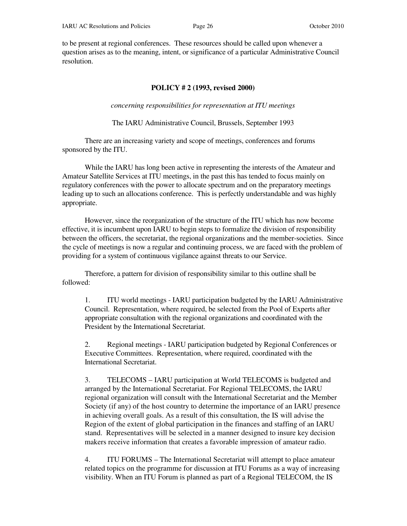to be present at regional conferences. These resources should be called upon whenever a question arises as to the meaning, intent, or significance of a particular Administrative Council resolution.

#### **POLICY # 2 (1993, revised 2000)**

*concerning responsibilities for representation at ITU meetings* 

The IARU Administrative Council, Brussels, September 1993

 There are an increasing variety and scope of meetings, conferences and forums sponsored by the ITU.

 While the IARU has long been active in representing the interests of the Amateur and Amateur Satellite Services at ITU meetings, in the past this has tended to focus mainly on regulatory conferences with the power to allocate spectrum and on the preparatory meetings leading up to such an allocations conference. This is perfectly understandable and was highly appropriate.

 However, since the reorganization of the structure of the ITU which has now become effective, it is incumbent upon IARU to begin steps to formalize the division of responsibility between the officers, the secretariat, the regional organizations and the member-societies. Since the cycle of meetings is now a regular and continuing process, we are faced with the problem of providing for a system of continuous vigilance against threats to our Service.

 Therefore, a pattern for division of responsibility similar to this outline shall be followed:

1. ITU world meetings - IARU participation budgeted by the IARU Administrative Council. Representation, where required, be selected from the Pool of Experts after appropriate consultation with the regional organizations and coordinated with the President by the International Secretariat.

2. Regional meetings - IARU participation budgeted by Regional Conferences or Executive Committees. Representation, where required, coordinated with the International Secretariat.

3. TELECOMS – IARU participation at World TELECOMS is budgeted and arranged by the International Secretariat. For Regional TELECOMS, the IARU regional organization will consult with the International Secretariat and the Member Society (if any) of the host country to determine the importance of an IARU presence in achieving overall goals. As a result of this consultation, the IS will advise the Region of the extent of global participation in the finances and staffing of an IARU stand. Representatives will be selected in a manner designed to insure key decision makers receive information that creates a favorable impression of amateur radio.

4. ITU FORUMS – The International Secretariat will attempt to place amateur related topics on the programme for discussion at ITU Forums as a way of increasing visibility. When an ITU Forum is planned as part of a Regional TELECOM, the IS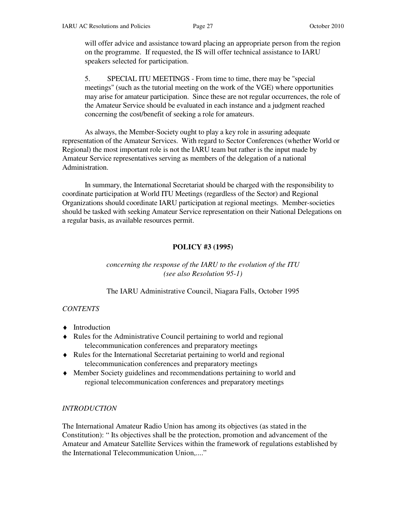will offer advice and assistance toward placing an appropriate person from the region on the programme. If requested, the IS will offer technical assistance to IARU speakers selected for participation.

5. SPECIAL ITU MEETINGS - From time to time, there may be "special meetings" (such as the tutorial meeting on the work of the VGE) where opportunities may arise for amateur participation. Since these are not regular occurrences, the role of the Amateur Service should be evaluated in each instance and a judgment reached concerning the cost/benefit of seeking a role for amateurs.

 As always, the Member-Society ought to play a key role in assuring adequate representation of the Amateur Services. With regard to Sector Conferences (whether World or Regional) the most important role is not the IARU team but rather is the input made by Amateur Service representatives serving as members of the delegation of a national Administration.

 In summary, the International Secretariat should be charged with the responsibility to coordinate participation at World ITU Meetings (regardless of the Sector) and Regional Organizations should coordinate IARU participation at regional meetings. Member-societies should be tasked with seeking Amateur Service representation on their National Delegations on a regular basis, as available resources permit.

# **POLICY #3 (1995)**

*concerning the response of the IARU to the evolution of the ITU (see also Resolution 95-1)* 

The IARU Administrative Council, Niagara Falls, October 1995

# *CONTENTS*

- ♦ Introduction
- ♦ Rules for the Administrative Council pertaining to world and regional telecommunication conferences and preparatory meetings
- ♦ Rules for the International Secretariat pertaining to world and regional telecommunication conferences and preparatory meetings
- ♦ Member Society guidelines and recommendations pertaining to world and regional telecommunication conferences and preparatory meetings

# *INTRODUCTION*

The International Amateur Radio Union has among its objectives (as stated in the Constitution): " Its objectives shall be the protection, promotion and advancement of the Amateur and Amateur Satellite Services within the framework of regulations established by the International Telecommunication Union,...."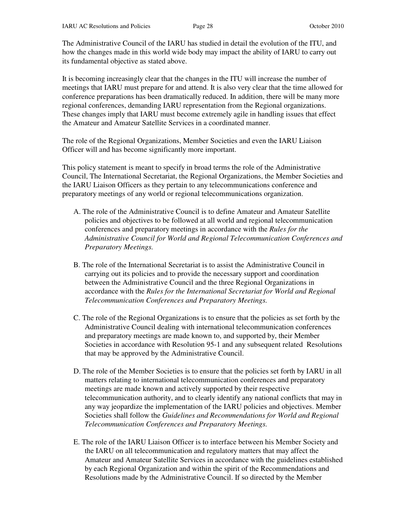The Administrative Council of the IARU has studied in detail the evolution of the ITU, and how the changes made in this world wide body may impact the ability of IARU to carry out its fundamental objective as stated above.

It is becoming increasingly clear that the changes in the ITU will increase the number of meetings that IARU must prepare for and attend. It is also very clear that the time allowed for conference preparations has been dramatically reduced. In addition, there will be many more regional conferences, demanding IARU representation from the Regional organizations. These changes imply that IARU must become extremely agile in handling issues that effect the Amateur and Amateur Satellite Services in a coordinated manner.

The role of the Regional Organizations, Member Societies and even the IARU Liaison Officer will and has become significantly more important.

This policy statement is meant to specify in broad terms the role of the Administrative Council, The International Secretariat, the Regional Organizations, the Member Societies and the IARU Liaison Officers as they pertain to any telecommunications conference and preparatory meetings of any world or regional telecommunications organization.

- A. The role of the Administrative Council is to define Amateur and Amateur Satellite policies and objectives to be followed at all world and regional telecommunication conferences and preparatory meetings in accordance with the *Rules for the Administrative Council for World and Regional Telecommunication Conferences and Preparatory Meetings.*
- B. The role of the International Secretariat is to assist the Administrative Council in carrying out its policies and to provide the necessary support and coordination between the Administrative Council and the three Regional Organizations in accordance with the *Rules for the International Secretariat for World and Regional Telecommunication Conferences and Preparatory Meetings.*
- C. The role of the Regional Organizations is to ensure that the policies as set forth by the Administrative Council dealing with international telecommunication conferences and preparatory meetings are made known to, and supported by, their Member Societies in accordance with Resolution 95-1 and any subsequent related Resolutions that may be approved by the Administrative Council.
- D. The role of the Member Societies is to ensure that the policies set forth by IARU in all matters relating to international telecommunication conferences and preparatory meetings are made known and actively supported by their respective telecommunication authority, and to clearly identify any national conflicts that may in any way jeopardize the implementation of the IARU policies and objectives. Member Societies shall follow the *Guidelines and Recommendations for World and Regional Telecommunication Conferences and Preparatory Meetings.*
- E. The role of the IARU Liaison Officer is to interface between his Member Society and the IARU on all telecommunication and regulatory matters that may affect the Amateur and Amateur Satellite Services in accordance with the guidelines established by each Regional Organization and within the spirit of the Recommendations and Resolutions made by the Administrative Council. If so directed by the Member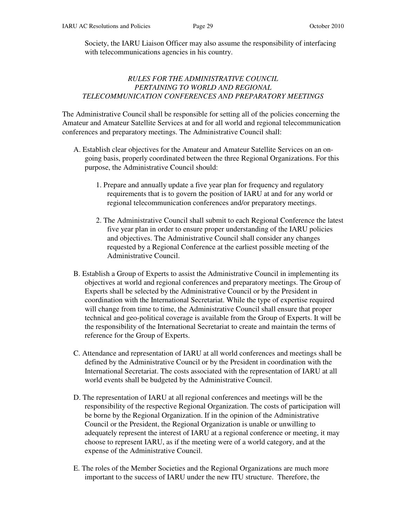Society, the IARU Liaison Officer may also assume the responsibility of interfacing with telecommunications agencies in his country.

# *RULES FOR THE ADMINISTRATIVE COUNCIL PERTAINING TO WORLD AND REGIONAL TELECOMMUNICATION CONFERENCES AND PREPARATORY MEETINGS*

The Administrative Council shall be responsible for setting all of the policies concerning the Amateur and Amateur Satellite Services at and for all world and regional telecommunication conferences and preparatory meetings. The Administrative Council shall:

- A. Establish clear objectives for the Amateur and Amateur Satellite Services on an ongoing basis, properly coordinated between the three Regional Organizations. For this purpose, the Administrative Council should:
	- 1. Prepare and annually update a five year plan for frequency and regulatory requirements that is to govern the position of IARU at and for any world or regional telecommunication conferences and/or preparatory meetings.
	- 2. The Administrative Council shall submit to each Regional Conference the latest five year plan in order to ensure proper understanding of the IARU policies and objectives. The Administrative Council shall consider any changes requested by a Regional Conference at the earliest possible meeting of the Administrative Council.
- B. Establish a Group of Experts to assist the Administrative Council in implementing its objectives at world and regional conferences and preparatory meetings. The Group of Experts shall be selected by the Administrative Council or by the President in coordination with the International Secretariat. While the type of expertise required will change from time to time, the Administrative Council shall ensure that proper technical and geo-political coverage is available from the Group of Experts. It will be the responsibility of the International Secretariat to create and maintain the terms of reference for the Group of Experts.
- C. Attendance and representation of IARU at all world conferences and meetings shall be defined by the Administrative Council or by the President in coordination with the International Secretariat. The costs associated with the representation of IARU at all world events shall be budgeted by the Administrative Council.
- D. The representation of IARU at all regional conferences and meetings will be the responsibility of the respective Regional Organization. The costs of participation will be borne by the Regional Organization. If in the opinion of the Administrative Council or the President, the Regional Organization is unable or unwilling to adequately represent the interest of IARU at a regional conference or meeting, it may choose to represent IARU, as if the meeting were of a world category, and at the expense of the Administrative Council.
- E. The roles of the Member Societies and the Regional Organizations are much more important to the success of IARU under the new ITU structure. Therefore, the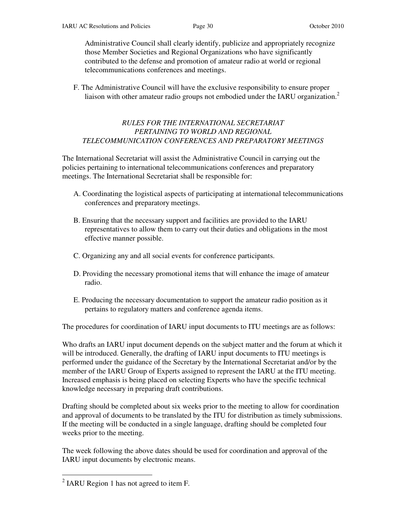Administrative Council shall clearly identify, publicize and appropriately recognize those Member Societies and Regional Organizations who have significantly contributed to the defense and promotion of amateur radio at world or regional telecommunications conferences and meetings.

F. The Administrative Council will have the exclusive responsibility to ensure proper liaison with other amateur radio groups not embodied under the IARU organization.<sup>2</sup>

# *RULES FOR THE INTERNATIONAL SECRETARIAT PERTAINING TO WORLD AND REGIONAL TELECOMMUNICATION CONFERENCES AND PREPARATORY MEETINGS*

The International Secretariat will assist the Administrative Council in carrying out the policies pertaining to international telecommunications conferences and preparatory meetings. The International Secretariat shall be responsible for:

- A. Coordinating the logistical aspects of participating at international telecommunications conferences and preparatory meetings.
- B. Ensuring that the necessary support and facilities are provided to the IARU representatives to allow them to carry out their duties and obligations in the most effective manner possible.
- C. Organizing any and all social events for conference participants.
- D. Providing the necessary promotional items that will enhance the image of amateur radio.
- E. Producing the necessary documentation to support the amateur radio position as it pertains to regulatory matters and conference agenda items.

The procedures for coordination of IARU input documents to ITU meetings are as follows:

Who drafts an IARU input document depends on the subject matter and the forum at which it will be introduced. Generally, the drafting of IARU input documents to ITU meetings is performed under the guidance of the Secretary by the International Secretariat and/or by the member of the IARU Group of Experts assigned to represent the IARU at the ITU meeting. Increased emphasis is being placed on selecting Experts who have the specific technical knowledge necessary in preparing draft contributions.

Drafting should be completed about six weeks prior to the meeting to allow for coordination and approval of documents to be translated by the ITU for distribution as timely submissions. If the meeting will be conducted in a single language, drafting should be completed four weeks prior to the meeting.

The week following the above dates should be used for coordination and approval of the IARU input documents by electronic means.

 $\overline{a}$ 

 $2$  IARU Region 1 has not agreed to item F.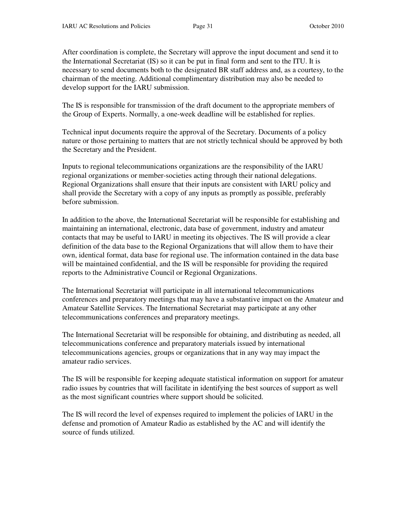After coordination is complete, the Secretary will approve the input document and send it to the International Secretariat (IS) so it can be put in final form and sent to the ITU. It is necessary to send documents both to the designated BR staff address and, as a courtesy, to the chairman of the meeting. Additional complimentary distribution may also be needed to develop support for the IARU submission.

The IS is responsible for transmission of the draft document to the appropriate members of the Group of Experts. Normally, a one-week deadline will be established for replies.

Technical input documents require the approval of the Secretary. Documents of a policy nature or those pertaining to matters that are not strictly technical should be approved by both the Secretary and the President.

Inputs to regional telecommunications organizations are the responsibility of the IARU regional organizations or member-societies acting through their national delegations. Regional Organizations shall ensure that their inputs are consistent with IARU policy and shall provide the Secretary with a copy of any inputs as promptly as possible, preferably before submission.

In addition to the above, the International Secretariat will be responsible for establishing and maintaining an international, electronic, data base of government, industry and amateur contacts that may be useful to IARU in meeting its objectives. The IS will provide a clear definition of the data base to the Regional Organizations that will allow them to have their own, identical format, data base for regional use. The information contained in the data base will be maintained confidential, and the IS will be responsible for providing the required reports to the Administrative Council or Regional Organizations.

The International Secretariat will participate in all international telecommunications conferences and preparatory meetings that may have a substantive impact on the Amateur and Amateur Satellite Services. The International Secretariat may participate at any other telecommunications conferences and preparatory meetings.

The International Secretariat will be responsible for obtaining, and distributing as needed, all telecommunications conference and preparatory materials issued by international telecommunications agencies, groups or organizations that in any way may impact the amateur radio services.

The IS will be responsible for keeping adequate statistical information on support for amateur radio issues by countries that will facilitate in identifying the best sources of support as well as the most significant countries where support should be solicited.

The IS will record the level of expenses required to implement the policies of IARU in the defense and promotion of Amateur Radio as established by the AC and will identify the source of funds utilized.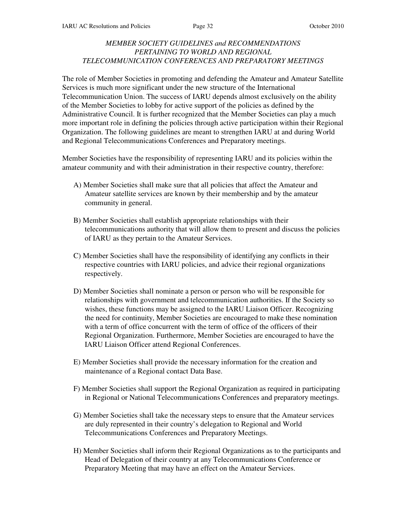### *MEMBER SOCIETY GUIDELINES and RECOMMENDATIONS PERTAINING TO WORLD AND REGIONAL TELECOMMUNICATION CONFERENCES AND PREPARATORY MEETINGS*

The role of Member Societies in promoting and defending the Amateur and Amateur Satellite Services is much more significant under the new structure of the International Telecommunication Union. The success of IARU depends almost exclusively on the ability of the Member Societies to lobby for active support of the policies as defined by the Administrative Council. It is further recognized that the Member Societies can play a much more important role in defining the policies through active participation within their Regional Organization. The following guidelines are meant to strengthen IARU at and during World and Regional Telecommunications Conferences and Preparatory meetings.

Member Societies have the responsibility of representing IARU and its policies within the amateur community and with their administration in their respective country, therefore:

- A) Member Societies shall make sure that all policies that affect the Amateur and Amateur satellite services are known by their membership and by the amateur community in general.
- B) Member Societies shall establish appropriate relationships with their telecommunications authority that will allow them to present and discuss the policies of IARU as they pertain to the Amateur Services.
- C) Member Societies shall have the responsibility of identifying any conflicts in their respective countries with IARU policies, and advice their regional organizations respectively.
- D) Member Societies shall nominate a person or person who will be responsible for relationships with government and telecommunication authorities. If the Society so wishes, these functions may be assigned to the IARU Liaison Officer. Recognizing the need for continuity, Member Societies are encouraged to make these nomination with a term of office concurrent with the term of office of the officers of their Regional Organization. Furthermore, Member Societies are encouraged to have the IARU Liaison Officer attend Regional Conferences.
- E) Member Societies shall provide the necessary information for the creation and maintenance of a Regional contact Data Base.
- F) Member Societies shall support the Regional Organization as required in participating in Regional or National Telecommunications Conferences and preparatory meetings.
- G) Member Societies shall take the necessary steps to ensure that the Amateur services are duly represented in their country's delegation to Regional and World Telecommunications Conferences and Preparatory Meetings.
- H) Member Societies shall inform their Regional Organizations as to the participants and Head of Delegation of their country at any Telecommunications Conference or Preparatory Meeting that may have an effect on the Amateur Services.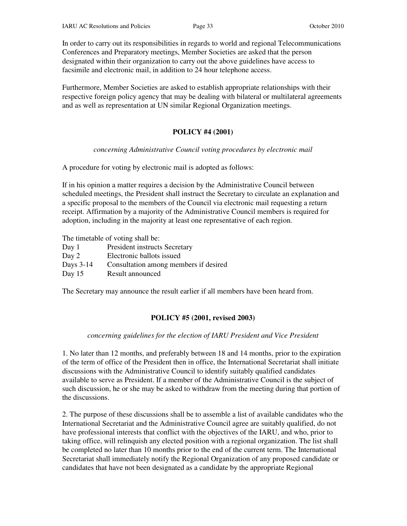In order to carry out its responsibilities in regards to world and regional Telecommunications Conferences and Preparatory meetings, Member Societies are asked that the person designated within their organization to carry out the above guidelines have access to facsimile and electronic mail, in addition to 24 hour telephone access.

Furthermore, Member Societies are asked to establish appropriate relationships with their respective foreign policy agency that may be dealing with bilateral or multilateral agreements and as well as representation at UN similar Regional Organization meetings.

# **POLICY #4 (2001)**

### *concerning Administrative Council voting procedures by electronic mail*

A procedure for voting by electronic mail is adopted as follows:

If in his opinion a matter requires a decision by the Administrative Council between scheduled meetings, the President shall instruct the Secretary to circulate an explanation and a specific proposal to the members of the Council via electronic mail requesting a return receipt. Affirmation by a majority of the Administrative Council members is required for adoption, including in the majority at least one representative of each region.

The timetable of voting shall be:

| Day 1       | President instructs Secretary         |
|-------------|---------------------------------------|
| Day 2       | Electronic ballots issued             |
| Days $3-14$ | Consultation among members if desired |
| Day $15$    | Result announced                      |

The Secretary may announce the result earlier if all members have been heard from.

# **POLICY #5 (2001, revised 2003)**

### *concerning guidelines for the election of IARU President and Vice President*

1. No later than 12 months, and preferably between 18 and 14 months, prior to the expiration of the term of office of the President then in office, the International Secretariat shall initiate discussions with the Administrative Council to identify suitably qualified candidates available to serve as President. If a member of the Administrative Council is the subject of such discussion, he or she may be asked to withdraw from the meeting during that portion of the discussions.

2. The purpose of these discussions shall be to assemble a list of available candidates who the International Secretariat and the Administrative Council agree are suitably qualified, do not have professional interests that conflict with the objectives of the IARU, and who, prior to taking office, will relinquish any elected position with a regional organization. The list shall be completed no later than 10 months prior to the end of the current term. The International Secretariat shall immediately notify the Regional Organization of any proposed candidate or candidates that have not been designated as a candidate by the appropriate Regional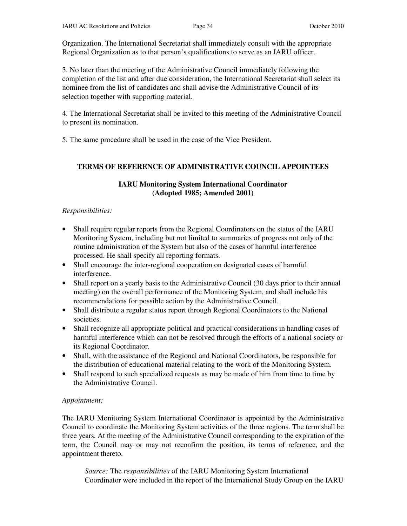Organization. The International Secretariat shall immediately consult with the appropriate Regional Organization as to that person's qualifications to serve as an IARU officer.

3. No later than the meeting of the Administrative Council immediately following the completion of the list and after due consideration, the International Secretariat shall select its nominee from the list of candidates and shall advise the Administrative Council of its selection together with supporting material.

4. The International Secretariat shall be invited to this meeting of the Administrative Council to present its nomination.

5. The same procedure shall be used in the case of the Vice President.

# **TERMS OF REFERENCE OF ADMINISTRATIVE COUNCIL APPOINTEES**

# **IARU Monitoring System International Coordinator (Adopted 1985; Amended 2001)**

# *Responsibilities:*

- Shall require regular reports from the Regional Coordinators on the status of the IARU Monitoring System, including but not limited to summaries of progress not only of the routine administration of the System but also of the cases of harmful interference processed. He shall specify all reporting formats.
- Shall encourage the inter-regional cooperation on designated cases of harmful interference.
- Shall report on a yearly basis to the Administrative Council (30 days prior to their annual meeting) on the overall performance of the Monitoring System, and shall include his recommendations for possible action by the Administrative Council.
- Shall distribute a regular status report through Regional Coordinators to the National societies.
- Shall recognize all appropriate political and practical considerations in handling cases of harmful interference which can not be resolved through the efforts of a national society or its Regional Coordinator.
- Shall, with the assistance of the Regional and National Coordinators, be responsible for the distribution of educational material relating to the work of the Monitoring System.
- Shall respond to such specialized requests as may be made of him from time to time by the Administrative Council.

# *Appointment:*

The IARU Monitoring System International Coordinator is appointed by the Administrative Council to coordinate the Monitoring System activities of the three regions. The term shall be three years. At the meeting of the Administrative Council corresponding to the expiration of the term, the Council may or may not reconfirm the position, its terms of reference, and the appointment thereto.

*Source:* The *responsibilities* of the IARU Monitoring System International Coordinator were included in the report of the International Study Group on the IARU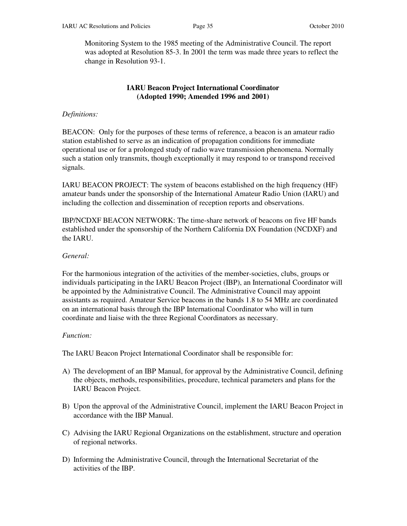Monitoring System to the 1985 meeting of the Administrative Council. The report was adopted at Resolution 85-3. In 2001 the term was made three years to reflect the change in Resolution 93-1.

# **IARU Beacon Project International Coordinator (Adopted 1990; Amended 1996 and 2001)**

# *Definitions:*

BEACON: Only for the purposes of these terms of reference, a beacon is an amateur radio station established to serve as an indication of propagation conditions for immediate operational use or for a prolonged study of radio wave transmission phenomena. Normally such a station only transmits, though exceptionally it may respond to or transpond received signals.

IARU BEACON PROJECT: The system of beacons established on the high frequency (HF) amateur bands under the sponsorship of the International Amateur Radio Union (IARU) and including the collection and dissemination of reception reports and observations.

IBP/NCDXF BEACON NETWORK: The time-share network of beacons on five HF bands established under the sponsorship of the Northern California DX Foundation (NCDXF) and the IARU.

# *General:*

For the harmonious integration of the activities of the member-societies, clubs, groups or individuals participating in the IARU Beacon Project (IBP), an International Coordinator will be appointed by the Administrative Council. The Administrative Council may appoint assistants as required. Amateur Service beacons in the bands 1.8 to 54 MHz are coordinated on an international basis through the IBP International Coordinator who will in turn coordinate and liaise with the three Regional Coordinators as necessary.

# *Function:*

The IARU Beacon Project International Coordinator shall be responsible for:

- A) The development of an IBP Manual, for approval by the Administrative Council, defining the objects, methods, responsibilities, procedure, technical parameters and plans for the IARU Beacon Project.
- B) Upon the approval of the Administrative Council, implement the IARU Beacon Project in accordance with the IBP Manual.
- C) Advising the IARU Regional Organizations on the establishment, structure and operation of regional networks.
- D) Informing the Administrative Council, through the International Secretariat of the activities of the IBP.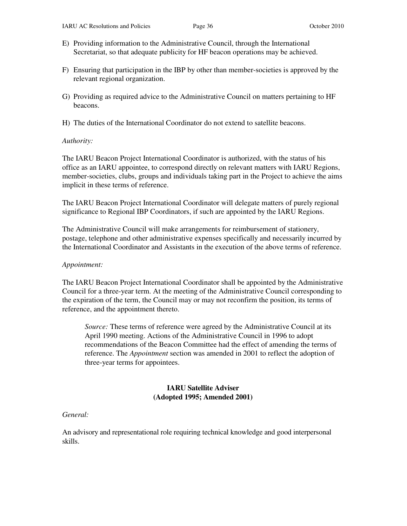- E) Providing information to the Administrative Council, through the International Secretariat, so that adequate publicity for HF beacon operations may be achieved.
- F) Ensuring that participation in the IBP by other than member-societies is approved by the relevant regional organization.
- G) Providing as required advice to the Administrative Council on matters pertaining to HF beacons.
- H) The duties of the International Coordinator do not extend to satellite beacons.

### *Authority:*

The IARU Beacon Project International Coordinator is authorized, with the status of his office as an IARU appointee, to correspond directly on relevant matters with IARU Regions, member-societies, clubs, groups and individuals taking part in the Project to achieve the aims implicit in these terms of reference.

The IARU Beacon Project International Coordinator will delegate matters of purely regional significance to Regional IBP Coordinators, if such are appointed by the IARU Regions.

The Administrative Council will make arrangements for reimbursement of stationery, postage, telephone and other administrative expenses specifically and necessarily incurred by the International Coordinator and Assistants in the execution of the above terms of reference.

#### *Appointment:*

The IARU Beacon Project International Coordinator shall be appointed by the Administrative Council for a three-year term. At the meeting of the Administrative Council corresponding to the expiration of the term, the Council may or may not reconfirm the position, its terms of reference, and the appointment thereto.

*Source:* These terms of reference were agreed by the Administrative Council at its April 1990 meeting. Actions of the Administrative Council in 1996 to adopt recommendations of the Beacon Committee had the effect of amending the terms of reference. The *Appointment* section was amended in 2001 to reflect the adoption of three-year terms for appointees.

### **IARU Satellite Adviser (Adopted 1995; Amended 2001)**

#### *General:*

An advisory and representational role requiring technical knowledge and good interpersonal skills.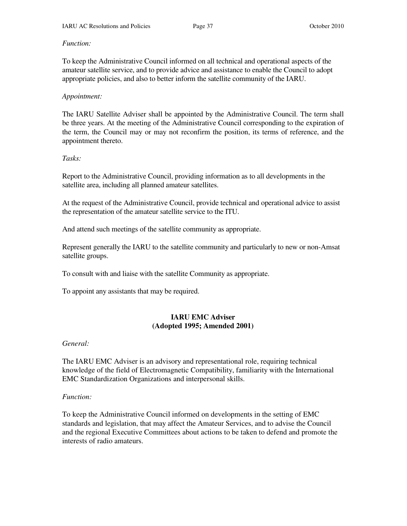### *Function:*

To keep the Administrative Council informed on all technical and operational aspects of the amateur satellite service, and to provide advice and assistance to enable the Council to adopt appropriate policies, and also to better inform the satellite community of the IARU.

### *Appointment:*

The IARU Satellite Adviser shall be appointed by the Administrative Council. The term shall be three years. At the meeting of the Administrative Council corresponding to the expiration of the term, the Council may or may not reconfirm the position, its terms of reference, and the appointment thereto.

### *Tasks:*

Report to the Administrative Council, providing information as to all developments in the satellite area, including all planned amateur satellites.

At the request of the Administrative Council, provide technical and operational advice to assist the representation of the amateur satellite service to the ITU.

And attend such meetings of the satellite community as appropriate.

Represent generally the IARU to the satellite community and particularly to new or non-Amsat satellite groups.

To consult with and liaise with the satellite Community as appropriate.

To appoint any assistants that may be required.

### **IARU EMC Adviser (Adopted 1995; Amended 2001)**

### *General:*

The IARU EMC Adviser is an advisory and representational role, requiring technical knowledge of the field of Electromagnetic Compatibility, familiarity with the International EMC Standardization Organizations and interpersonal skills.

### *Function:*

To keep the Administrative Council informed on developments in the setting of EMC standards and legislation, that may affect the Amateur Services, and to advise the Council and the regional Executive Committees about actions to be taken to defend and promote the interests of radio amateurs.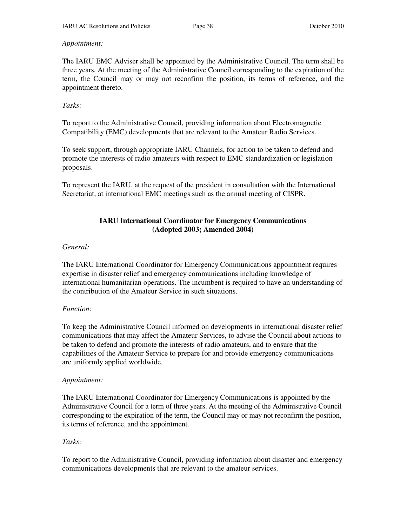# *Appointment:*

The IARU EMC Adviser shall be appointed by the Administrative Council. The term shall be three years. At the meeting of the Administrative Council corresponding to the expiration of the term, the Council may or may not reconfirm the position, its terms of reference, and the appointment thereto.

# *Tasks:*

To report to the Administrative Council, providing information about Electromagnetic Compatibility (EMC) developments that are relevant to the Amateur Radio Services.

To seek support, through appropriate IARU Channels, for action to be taken to defend and promote the interests of radio amateurs with respect to EMC standardization or legislation proposals.

To represent the IARU, at the request of the president in consultation with the International Secretariat, at international EMC meetings such as the annual meeting of CISPR.

# **IARU International Coordinator for Emergency Communications (Adopted 2003; Amended 2004)**

### *General:*

The IARU International Coordinator for Emergency Communications appointment requires expertise in disaster relief and emergency communications including knowledge of international humanitarian operations. The incumbent is required to have an understanding of the contribution of the Amateur Service in such situations.

# *Function:*

To keep the Administrative Council informed on developments in international disaster relief communications that may affect the Amateur Services, to advise the Council about actions to be taken to defend and promote the interests of radio amateurs, and to ensure that the capabilities of the Amateur Service to prepare for and provide emergency communications are uniformly applied worldwide.

# *Appointment:*

The IARU International Coordinator for Emergency Communications is appointed by the Administrative Council for a term of three years. At the meeting of the Administrative Council corresponding to the expiration of the term, the Council may or may not reconfirm the position, its terms of reference, and the appointment.

### *Tasks:*

To report to the Administrative Council, providing information about disaster and emergency communications developments that are relevant to the amateur services.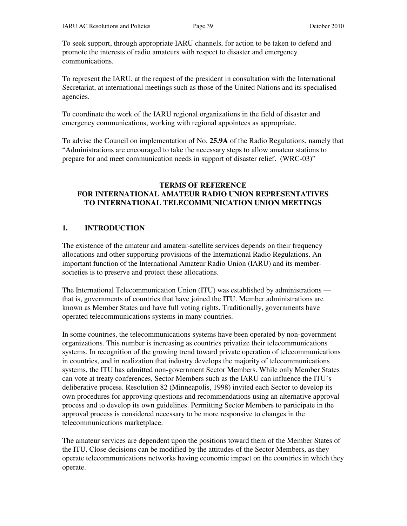To seek support, through appropriate IARU channels, for action to be taken to defend and promote the interests of radio amateurs with respect to disaster and emergency communications.

To represent the IARU, at the request of the president in consultation with the International Secretariat, at international meetings such as those of the United Nations and its specialised agencies.

To coordinate the work of the IARU regional organizations in the field of disaster and emergency communications, working with regional appointees as appropriate.

To advise the Council on implementation of No. **25.9A** of the Radio Regulations, namely that "Administrations are encouraged to take the necessary steps to allow amateur stations to prepare for and meet communication needs in support of disaster relief. (WRC-03)"

### **TERMS OF REFERENCE FOR INTERNATIONAL AMATEUR RADIO UNION REPRESENTATIVES TO INTERNATIONAL TELECOMMUNICATION UNION MEETINGS**

# **1. INTRODUCTION**

The existence of the amateur and amateur-satellite services depends on their frequency allocations and other supporting provisions of the International Radio Regulations. An important function of the International Amateur Radio Union (IARU) and its membersocieties is to preserve and protect these allocations.

The International Telecommunication Union (ITU) was established by administrations that is, governments of countries that have joined the ITU. Member administrations are known as Member States and have full voting rights. Traditionally, governments have operated telecommunications systems in many countries.

In some countries, the telecommunications systems have been operated by non-government organizations. This number is increasing as countries privatize their telecommunications systems. In recognition of the growing trend toward private operation of telecommunications in countries, and in realization that industry develops the majority of telecommunications systems, the ITU has admitted non-government Sector Members. While only Member States can vote at treaty conferences, Sector Members such as the IARU can influence the ITU's deliberative process. Resolution 82 (Minneapolis, 1998) invited each Sector to develop its own procedures for approving questions and recommendations using an alternative approval process and to develop its own guidelines. Permitting Sector Members to participate in the approval process is considered necessary to be more responsive to changes in the telecommunications marketplace.

The amateur services are dependent upon the positions toward them of the Member States of the ITU. Close decisions can be modified by the attitudes of the Sector Members, as they operate telecommunications networks having economic impact on the countries in which they operate.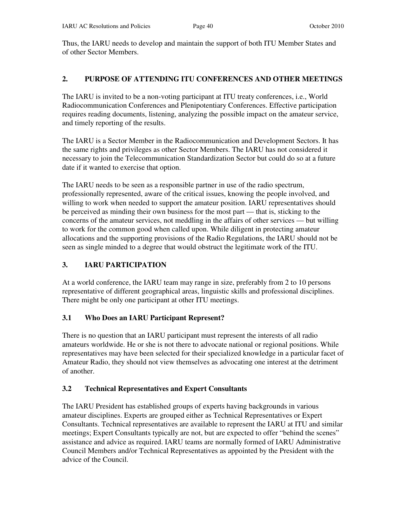Thus, the IARU needs to develop and maintain the support of both ITU Member States and of other Sector Members.

# **2. PURPOSE OF ATTENDING ITU CONFERENCES AND OTHER MEETINGS**

The IARU is invited to be a non-voting participant at ITU treaty conferences, i.e., World Radiocommunication Conferences and Plenipotentiary Conferences. Effective participation requires reading documents, listening, analyzing the possible impact on the amateur service, and timely reporting of the results.

The IARU is a Sector Member in the Radiocommunication and Development Sectors. It has the same rights and privileges as other Sector Members. The IARU has not considered it necessary to join the Telecommunication Standardization Sector but could do so at a future date if it wanted to exercise that option.

The IARU needs to be seen as a responsible partner in use of the radio spectrum, professionally represented, aware of the critical issues, knowing the people involved, and willing to work when needed to support the amateur position. IARU representatives should be perceived as minding their own business for the most part — that is, sticking to the concerns of the amateur services, not meddling in the affairs of other services — but willing to work for the common good when called upon. While diligent in protecting amateur allocations and the supporting provisions of the Radio Regulations, the IARU should not be seen as single minded to a degree that would obstruct the legitimate work of the ITU.

# **3. IARU PARTICIPATION**

At a world conference, the IARU team may range in size, preferably from 2 to 10 persons representative of different geographical areas, linguistic skills and professional disciplines. There might be only one participant at other ITU meetings.

# **3.1 Who Does an IARU Participant Represent?**

There is no question that an IARU participant must represent the interests of all radio amateurs worldwide. He or she is not there to advocate national or regional positions. While representatives may have been selected for their specialized knowledge in a particular facet of Amateur Radio, they should not view themselves as advocating one interest at the detriment of another.

# **3.2 Technical Representatives and Expert Consultants**

The IARU President has established groups of experts having backgrounds in various amateur disciplines. Experts are grouped either as Technical Representatives or Expert Consultants. Technical representatives are available to represent the IARU at ITU and similar meetings; Expert Consultants typically are not, but are expected to offer "behind the scenes" assistance and advice as required. IARU teams are normally formed of IARU Administrative Council Members and/or Technical Representatives as appointed by the President with the advice of the Council.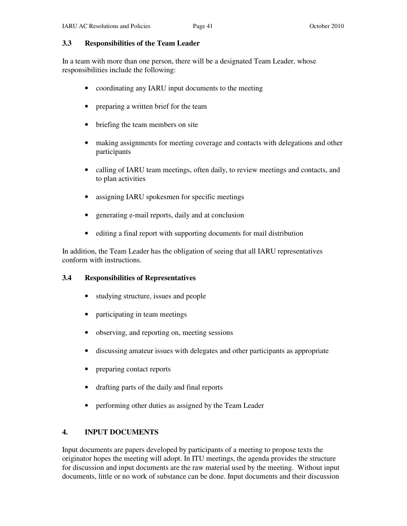### **3.3 Responsibilities of the Team Leader**

In a team with more than one person, there will be a designated Team Leader, whose responsibilities include the following:

- coordinating any IARU input documents to the meeting
- preparing a written brief for the team
- briefing the team members on site
- making assignments for meeting coverage and contacts with delegations and other participants
- calling of IARU team meetings, often daily, to review meetings and contacts, and to plan activities
- assigning IARU spokesmen for specific meetings
- generating e-mail reports, daily and at conclusion
- editing a final report with supporting documents for mail distribution

In addition, the Team Leader has the obligation of seeing that all IARU representatives conform with instructions.

### **3.4 Responsibilities of Representatives**

- studying structure, issues and people
- participating in team meetings
- observing, and reporting on, meeting sessions
- discussing amateur issues with delegates and other participants as appropriate
- preparing contact reports
- drafting parts of the daily and final reports
- performing other duties as assigned by the Team Leader

# **4. INPUT DOCUMENTS**

Input documents are papers developed by participants of a meeting to propose texts the originator hopes the meeting will adopt. In ITU meetings, the agenda provides the structure for discussion and input documents are the raw material used by the meeting. Without input documents, little or no work of substance can be done. Input documents and their discussion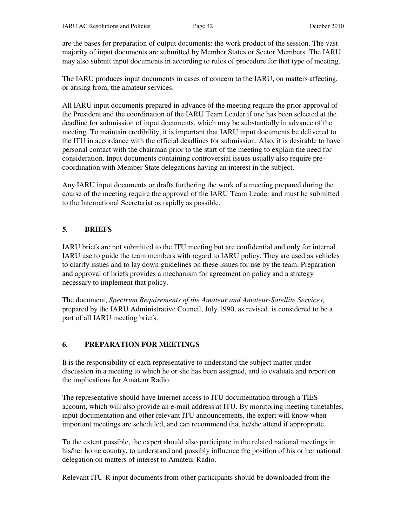are the bases for preparation of output documents: the work product of the session. The vast majority of input documents are submitted by Member States or Sector Members. The IARU may also submit input documents in according to rules of procedure for that type of meeting.

The IARU produces input documents in cases of concern to the IARU, on matters affecting, or arising from, the amateur services.

All IARU input documents prepared in advance of the meeting require the prior approval of the President and the coordination of the IARU Team Leader if one has been selected at the deadline for submission of input documents, which may be substantially in advance of the meeting. To maintain credibility, it is important that IARU input documents be delivered to the ITU in accordance with the official deadlines for submission. Also, it is desirable to have personal contact with the chairman prior to the start of the meeting to explain the need for consideration. Input documents containing controversial issues usually also require precoordination with Member State delegations having an interest in the subject.

Any IARU input documents or drafts furthering the work of a meeting prepared during the course of the meeting require the approval of the IARU Team Leader and must be submitted to the International Secretariat as rapidly as possible.

# **5. BRIEFS**

IARU briefs are not submitted to the ITU meeting but are confidential and only for internal IARU use to guide the team members with regard to IARU policy. They are used as vehicles to clarify issues and to lay down guidelines on these issues for use by the team. Preparation and approval of briefs provides a mechanism for agreement on policy and a strategy necessary to implement that policy.

The document, *Spectrum Requirements of the Amateur and Amateur-Satellite Services,* prepared by the IARU Administrative Council, July 1990, as revised, is considered to be a part of all IARU meeting briefs.

# **6. PREPARATION FOR MEETINGS**

It is the responsibility of each representative to understand the subject matter under discussion in a meeting to which he or she has been assigned, and to evaluate and report on the implications for Amateur Radio.

The representative should have Internet access to ITU documentation through a TIES account, which will also provide an e-mail address at ITU. By monitoring meeting timetables, input documentation and other relevant ITU announcements, the expert will know when important meetings are scheduled, and can recommend that he/she attend if appropriate.

To the extent possible, the expert should also participate in the related national meetings in his/her home country, to understand and possibly influence the position of his or her national delegation on matters of interest to Amateur Radio.

Relevant ITU-R input documents from other participants should be downloaded from the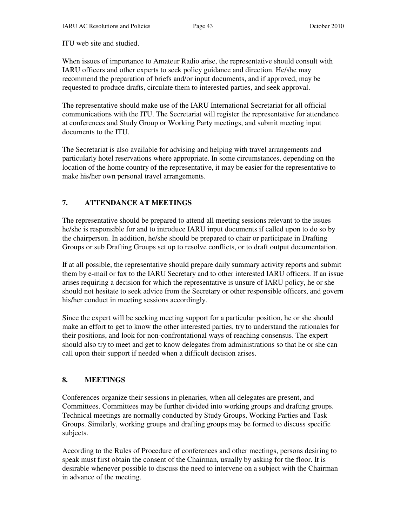ITU web site and studied.

When issues of importance to Amateur Radio arise, the representative should consult with IARU officers and other experts to seek policy guidance and direction. He/she may recommend the preparation of briefs and/or input documents, and if approved, may be requested to produce drafts, circulate them to interested parties, and seek approval.

The representative should make use of the IARU International Secretariat for all official communications with the ITU. The Secretariat will register the representative for attendance at conferences and Study Group or Working Party meetings, and submit meeting input documents to the ITU.

The Secretariat is also available for advising and helping with travel arrangements and particularly hotel reservations where appropriate. In some circumstances, depending on the location of the home country of the representative, it may be easier for the representative to make his/her own personal travel arrangements.

# **7. ATTENDANCE AT MEETINGS**

The representative should be prepared to attend all meeting sessions relevant to the issues he/she is responsible for and to introduce IARU input documents if called upon to do so by the chairperson. In addition, he/she should be prepared to chair or participate in Drafting Groups or sub Drafting Groups set up to resolve conflicts, or to draft output documentation.

If at all possible, the representative should prepare daily summary activity reports and submit them by e-mail or fax to the IARU Secretary and to other interested IARU officers. If an issue arises requiring a decision for which the representative is unsure of IARU policy, he or she should not hesitate to seek advice from the Secretary or other responsible officers, and govern his/her conduct in meeting sessions accordingly.

Since the expert will be seeking meeting support for a particular position, he or she should make an effort to get to know the other interested parties, try to understand the rationales for their positions, and look for non-confrontational ways of reaching consensus. The expert should also try to meet and get to know delegates from administrations so that he or she can call upon their support if needed when a difficult decision arises.

# **8. MEETINGS**

Conferences organize their sessions in plenaries, when all delegates are present, and Committees. Committees may be further divided into working groups and drafting groups. Technical meetings are normally conducted by Study Groups, Working Parties and Task Groups. Similarly, working groups and drafting groups may be formed to discuss specific subjects.

According to the Rules of Procedure of conferences and other meetings, persons desiring to speak must first obtain the consent of the Chairman, usually by asking for the floor. It is desirable whenever possible to discuss the need to intervene on a subject with the Chairman in advance of the meeting.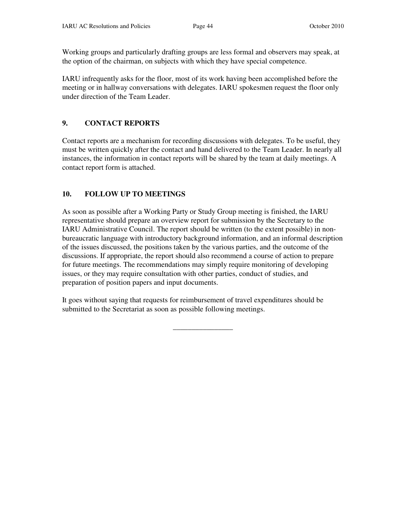Working groups and particularly drafting groups are less formal and observers may speak, at the option of the chairman, on subjects with which they have special competence.

IARU infrequently asks for the floor, most of its work having been accomplished before the meeting or in hallway conversations with delegates. IARU spokesmen request the floor only under direction of the Team Leader.

# **9. CONTACT REPORTS**

Contact reports are a mechanism for recording discussions with delegates. To be useful, they must be written quickly after the contact and hand delivered to the Team Leader. In nearly all instances, the information in contact reports will be shared by the team at daily meetings. A contact report form is attached.

# **10. FOLLOW UP TO MEETINGS**

As soon as possible after a Working Party or Study Group meeting is finished, the IARU representative should prepare an overview report for submission by the Secretary to the IARU Administrative Council. The report should be written (to the extent possible) in nonbureaucratic language with introductory background information, and an informal description of the issues discussed, the positions taken by the various parties, and the outcome of the discussions. If appropriate, the report should also recommend a course of action to prepare for future meetings. The recommendations may simply require monitoring of developing issues, or they may require consultation with other parties, conduct of studies, and preparation of position papers and input documents.

It goes without saying that requests for reimbursement of travel expenditures should be submitted to the Secretariat as soon as possible following meetings.

\_\_\_\_\_\_\_\_\_\_\_\_\_\_\_\_